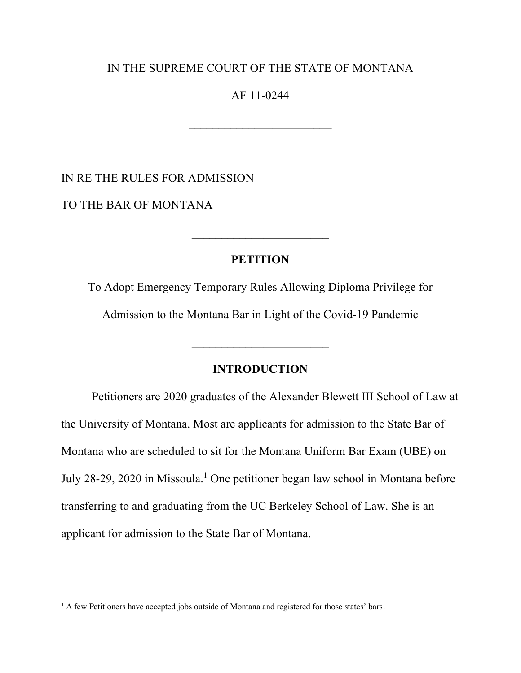# IN THE SUPREME COURT OF THE STATE OF MONTANA

# AF 11-0244

 $\mathcal{L}_\text{max}$  , where  $\mathcal{L}_\text{max}$  and  $\mathcal{L}_\text{max}$ 

IN RE THE RULES FOR ADMISSION

TO THE BAR OF MONTANA

# **PETITION**

 $\mathcal{L}_\text{max}$  , where  $\mathcal{L}_\text{max}$  , we have the set of  $\mathcal{L}_\text{max}$ 

To Adopt Emergency Temporary Rules Allowing Diploma Privilege for Admission to the Montana Bar in Light of the Covid-19 Pandemic

# **INTRODUCTION**

Petitioners are 2020 graduates of the Alexander Blewett III School of Law at the University of Montana. Most are applicants for admission to the State Bar of Montana who are scheduled to sit for the Montana Uniform Bar Exam (UBE) on July 28-29, 2020 in Missoula.1 One petitioner began law school in Montana before transferring to and graduating from the UC Berkeley School of Law. She is an applicant for admission to the State Bar of Montana.

<sup>&</sup>lt;sup>1</sup> A few Petitioners have accepted jobs outside of Montana and registered for those states' bars.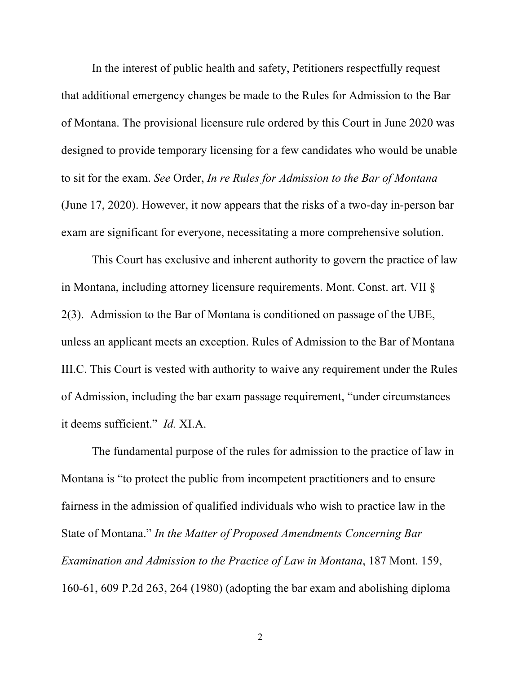In the interest of public health and safety, Petitioners respectfully request that additional emergency changes be made to the Rules for Admission to the Bar of Montana. The provisional licensure rule ordered by this Court in June 2020 was designed to provide temporary licensing for a few candidates who would be unable to sit for the exam. *See* Order, *In re Rules for Admission to the Bar of Montana* (June 17, 2020). However, it now appears that the risks of a two-day in-person bar exam are significant for everyone, necessitating a more comprehensive solution.

This Court has exclusive and inherent authority to govern the practice of law in Montana, including attorney licensure requirements. Mont. Const. art. VII § 2(3). Admission to the Bar of Montana is conditioned on passage of the UBE, unless an applicant meets an exception. Rules of Admission to the Bar of Montana III.C. This Court is vested with authority to waive any requirement under the Rules of Admission, including the bar exam passage requirement, "under circumstances it deems sufficient." *Id.* XI.A.

The fundamental purpose of the rules for admission to the practice of law in Montana is "to protect the public from incompetent practitioners and to ensure fairness in the admission of qualified individuals who wish to practice law in the State of Montana." *In the Matter of Proposed Amendments Concerning Bar Examination and Admission to the Practice of Law in Montana*, 187 Mont. 159, 160-61, 609 P.2d 263, 264 (1980) (adopting the bar exam and abolishing diploma

2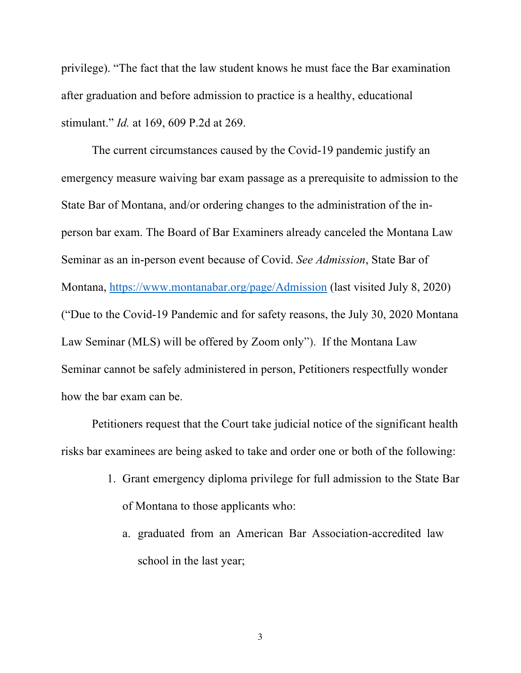privilege). "The fact that the law student knows he must face the Bar examination after graduation and before admission to practice is a healthy, educational stimulant." *Id.* at 169, 609 P.2d at 269.

The current circumstances caused by the Covid-19 pandemic justify an emergency measure waiving bar exam passage as a prerequisite to admission to the State Bar of Montana, and/or ordering changes to the administration of the inperson bar exam. The Board of Bar Examiners already canceled the Montana Law Seminar as an in-person event because of Covid. *See Admission*, State Bar of Montana, https://www.montanabar.org/page/Admission (last visited July 8, 2020) ("Due to the Covid-19 Pandemic and for safety reasons, the July 30, 2020 Montana Law Seminar (MLS) will be offered by Zoom only").If the Montana Law Seminar cannot be safely administered in person, Petitioners respectfully wonder how the bar exam can be.

Petitioners request that the Court take judicial notice of the significant health risks bar examinees are being asked to take and order one or both of the following:

- 1. Grant emergency diploma privilege for full admission to the State Bar of Montana to those applicants who:
	- a. graduated from an American Bar Association-accredited law school in the last year;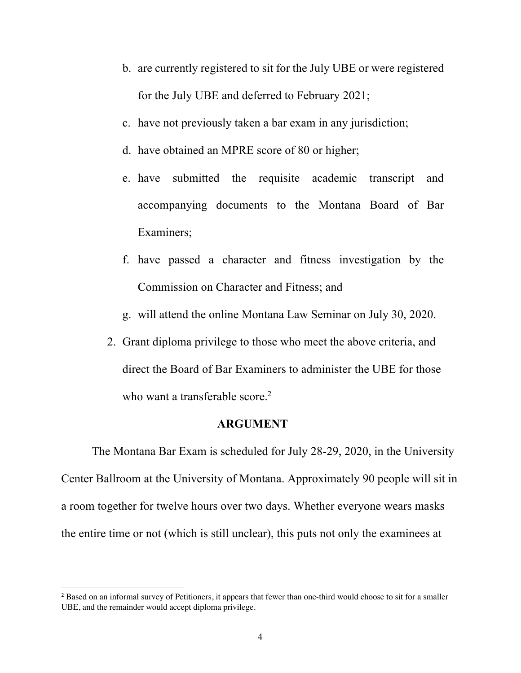- b. are currently registered to sit for the July UBE or were registered for the July UBE and deferred to February 2021;
- c. have not previously taken a bar exam in any jurisdiction;
- d. have obtained an MPRE score of 80 or higher;
- e. have submitted the requisite academic transcript and accompanying documents to the Montana Board of Bar Examiners;
- f. have passed a character and fitness investigation by the Commission on Character and Fitness; and
- g. will attend the online Montana Law Seminar on July 30, 2020.
- 2. Grant diploma privilege to those who meet the above criteria, and direct the Board of Bar Examiners to administer the UBE for those who want a transferable score.<sup>2</sup>

# **ARGUMENT**

The Montana Bar Exam is scheduled for July 28-29, 2020, in the University Center Ballroom at the University of Montana. Approximately 90 people will sit in a room together for twelve hours over two days. Whether everyone wears masks the entire time or not (which is still unclear), this puts not only the examinees at

<sup>&</sup>lt;sup>2</sup> Based on an informal survey of Petitioners, it appears that fewer than one-third would choose to sit for a smaller UBE, and the remainder would accept diploma privilege.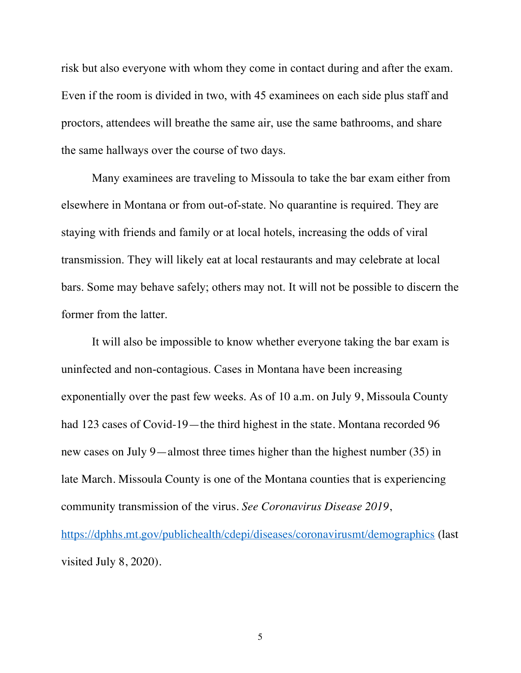risk but also everyone with whom they come in contact during and after the exam. Even if the room is divided in two, with 45 examinees on each side plus staff and proctors, attendees will breathe the same air, use the same bathrooms, and share the same hallways over the course of two days.

Many examinees are traveling to Missoula to take the bar exam either from elsewhere in Montana or from out-of-state. No quarantine is required. They are staying with friends and family or at local hotels, increasing the odds of viral transmission. They will likely eat at local restaurants and may celebrate at local bars. Some may behave safely; others may not. It will not be possible to discern the former from the latter.

It will also be impossible to know whether everyone taking the bar exam is uninfected and non-contagious. Cases in Montana have been increasing exponentially over the past few weeks. As of 10 a.m. on July 9, Missoula County had 123 cases of Covid-19—the third highest in the state. Montana recorded 96 new cases on July 9—almost three times higher than the highest number (35) in late March. Missoula County is one of the Montana counties that is experiencing community transmission of the virus. *See Coronavirus Disease 2019*, https://dphhs.mt.gov/publichealth/cdepi/diseases/coronavirusmt/demographics (last visited July 8, 2020).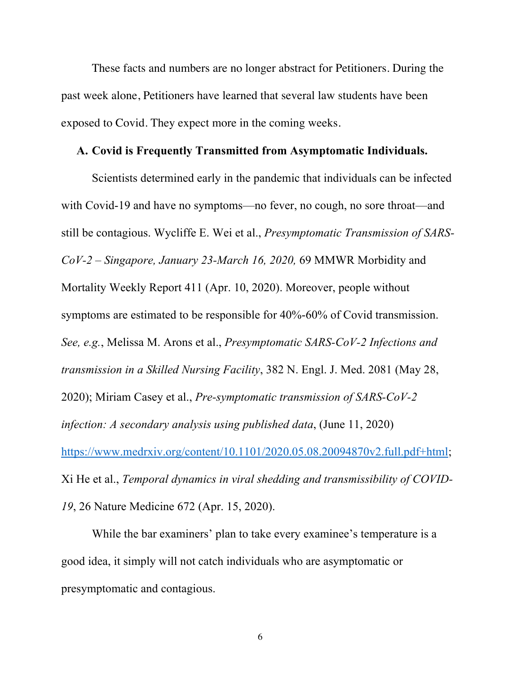These facts and numbers are no longer abstract for Petitioners. During the past week alone, Petitioners have learned that several law students have been exposed to Covid. They expect more in the coming weeks.

# **A. Covid is Frequently Transmitted from Asymptomatic Individuals.**

Scientists determined early in the pandemic that individuals can be infected with Covid-19 and have no symptoms—no fever, no cough, no sore throat—and still be contagious. Wycliffe E. Wei et al., *Presymptomatic Transmission of SARS-CoV-2 – Singapore, January 23-March 16, 2020,* 69 MMWR Morbidity and Mortality Weekly Report 411 (Apr. 10, 2020). Moreover, people without symptoms are estimated to be responsible for 40%-60% of Covid transmission. *See, e.g.*, Melissa M. Arons et al., *Presymptomatic SARS-CoV-2 Infections and transmission in a Skilled Nursing Facility*, 382 N. Engl. J. Med. 2081 (May 28, 2020); Miriam Casey et al., *Pre-symptomatic transmission of SARS-CoV-2 infection: A secondary analysis using published data*, (June 11, 2020) https://www.medrxiv.org/content/10.1101/2020.05.08.20094870v2.full.pdf+html; Xi He et al., *Temporal dynamics in viral shedding and transmissibility of COVID-19*, 26 Nature Medicine 672 (Apr. 15, 2020).

While the bar examiners' plan to take every examinee's temperature is a good idea, it simply will not catch individuals who are asymptomatic or presymptomatic and contagious.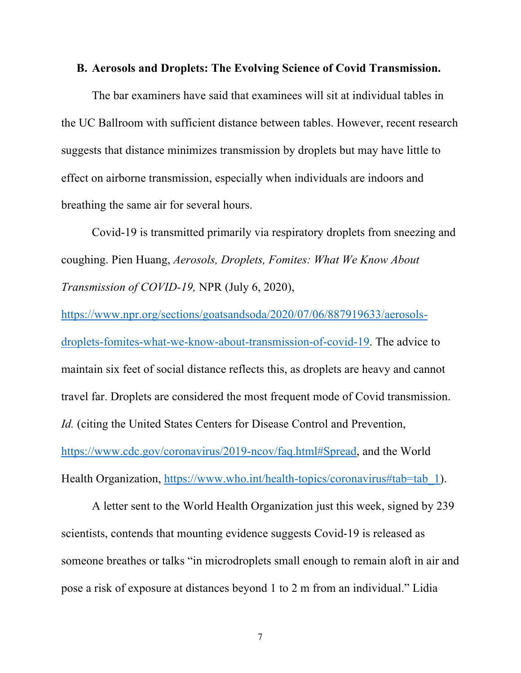# **B. Aerosols and Droplets: The Evolving Science of Covid Transmission.**

The bar examiners have said that examinees will sit at individual tables in the UC Ballroom with sufficient distance between tables. However, recent research suggests that distance minimizes transmission by droplets but may have little to effect on airborne transmission, especially when individuals are indoors and breathing the same air for several hours.

Covid-19 is transmitted primarily via respiratory droplets from sneezing and coughing. Pien Huang, *Aerosols, Droplets, Fomites: What We Know About Transmission of COVID-19,* NPR (July 6, 2020),

https://www.npr.org/sections/goatsandsoda/2020/07/06/887919633/aerosolsdroplets-fomites-what-we-know-about-transmission-of-covid-19. The advice to maintain six feet of social distance reflects this, as droplets are heavy and cannot travel far. Droplets are considered the most frequent mode of Covid transmission. *Id.* (citing the United States Centers for Disease Control and Prevention, https://www.cdc.gov/coronavirus/2019-ncov/faq.html#Spread, and the World Health Organization, https://www.who.int/health-topics/coronavirus#tab=tab 1).

A letter sent to the World Health Organization just this week, signed by 239 scientists, contends that mounting evidence suggests Covid-19 is released as someone breathes or talks "in microdroplets small enough to remain aloft in air and pose a risk of exposure at distances beyond 1 to 2 m from an individual." Lidia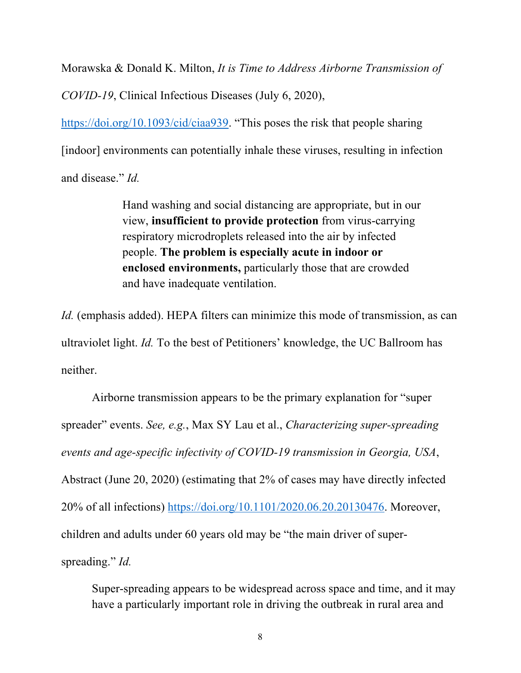Morawska & Donald K. Milton, *It is Time to Address Airborne Transmission of* 

*COVID-19*, Clinical Infectious Diseases (July 6, 2020),

https://doi.org/10.1093/cid/ciaa939. "This poses the risk that people sharing [indoor] environments can potentially inhale these viruses, resulting in infection and disease." *Id.* 

> Hand washing and social distancing are appropriate, but in our view, **insufficient to provide protection** from virus-carrying respiratory microdroplets released into the air by infected people. **The problem is especially acute in indoor or enclosed environments,** particularly those that are crowded and have inadequate ventilation.

*Id.* (emphasis added). HEPA filters can minimize this mode of transmission, as can ultraviolet light. *Id.* To the best of Petitioners' knowledge, the UC Ballroom has neither.

Airborne transmission appears to be the primary explanation for "super spreader" events. *See, e.g.*, Max SY Lau et al., *Characterizing super-spreading events and age-specific infectivity of COVID-19 transmission in Georgia, USA*, Abstract (June 20, 2020) (estimating that 2% of cases may have directly infected 20% of all infections) https://doi.org/10.1101/2020.06.20.20130476. Moreover, children and adults under 60 years old may be "the main driver of superspreading." *Id.*

Super-spreading appears to be widespread across space and time, and it may have a particularly important role in driving the outbreak in rural area and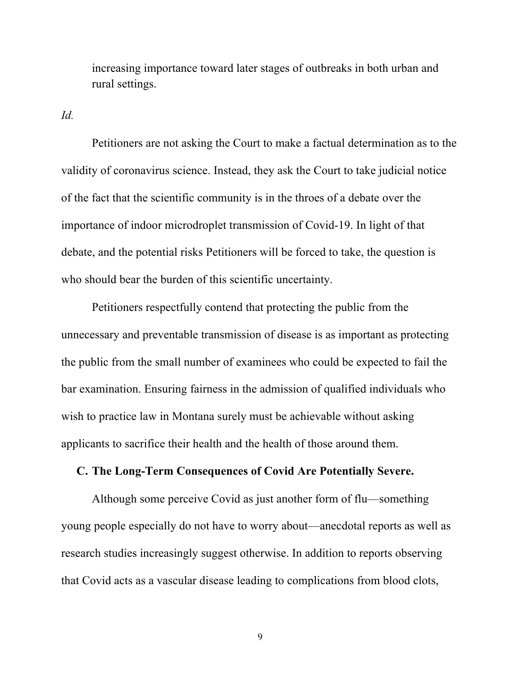increasing importance toward later stages of outbreaks in both urban and rural settings.

*Id.*

Petitioners are not asking the Court to make a factual determination as to the validity of coronavirus science. Instead, they ask the Court to take judicial notice of the fact that the scientific community is in the throes of a debate over the importance of indoor microdroplet transmission of Covid-19. In light of that debate, and the potential risks Petitioners will be forced to take, the question is who should bear the burden of this scientific uncertainty.

Petitioners respectfully contend that protecting the public from the unnecessary and preventable transmission of disease is as important as protecting the public from the small number of examinees who could be expected to fail the bar examination. Ensuring fairness in the admission of qualified individuals who wish to practice law in Montana surely must be achievable without asking applicants to sacrifice their health and the health of those around them.

# **C. The Long-Term Consequences of Covid Are Potentially Severe.**

Although some perceive Covid as just another form of flu—something young people especially do not have to worry about—anecdotal reports as well as research studies increasingly suggest otherwise. In addition to reports observing that Covid acts as a vascular disease leading to complications from blood clots,

9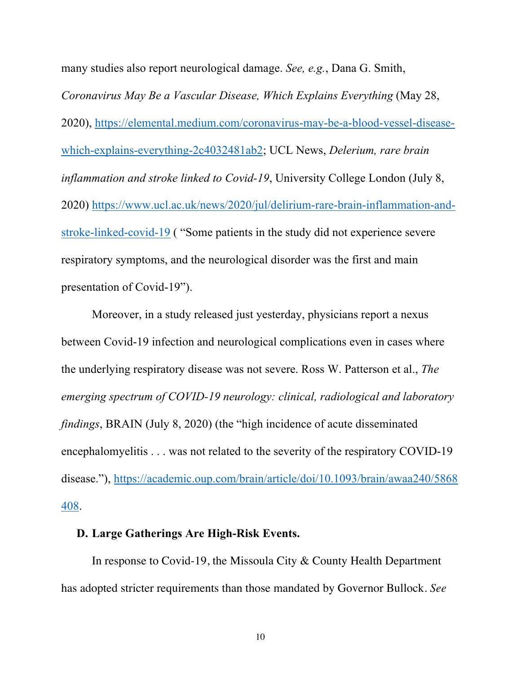many studies also report neurological damage. *See, e.g.*, Dana G. Smith, *Coronavirus May Be a Vascular Disease, Which Explains Everything* (May 28, 2020), https://elemental.medium.com/coronavirus-may-be-a-blood-vessel-diseasewhich-explains-everything-2c4032481ab2; UCL News, *Delerium, rare brain inflammation and stroke linked to Covid-19*, University College London (July 8, 2020) https://www.ucl.ac.uk/news/2020/jul/delirium-rare-brain-inflammation-andstroke-linked-covid-19 ( "Some patients in the study did not experience severe respiratory symptoms, and the neurological disorder was the first and main presentation of Covid-19").

Moreover, in a study released just yesterday, physicians report a nexus between Covid-19 infection and neurological complications even in cases where the underlying respiratory disease was not severe. Ross W. Patterson et al., *The emerging spectrum of COVID-19 neurology: clinical, radiological and laboratory findings*, BRAIN (July 8, 2020) (the "high incidence of acute disseminated encephalomyelitis . . . was not related to the severity of the respiratory COVID-19 disease."), https://academic.oup.com/brain/article/doi/10.1093/brain/awaa240/5868 408.

# **D. Large Gatherings Are High-Risk Events.**

In response to Covid-19, the Missoula City & County Health Department has adopted stricter requirements than those mandated by Governor Bullock. *See*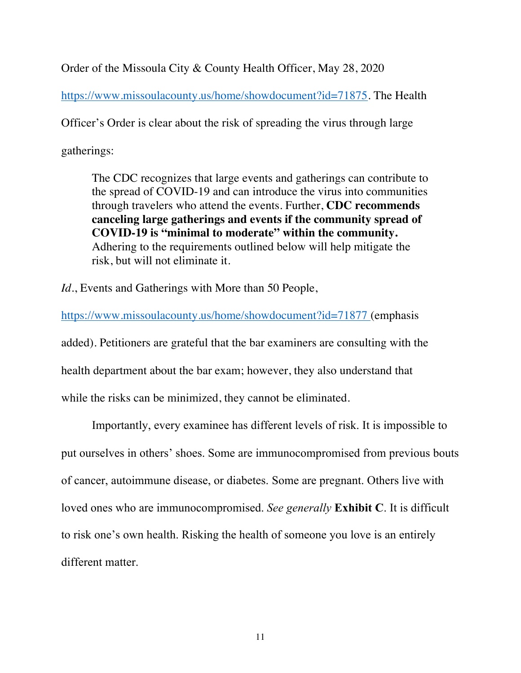Order of the Missoula City & County Health Officer, May 28, 2020

https://www.missoulacounty.us/home/showdocument?id=71875. The Health

Officer's Order is clear about the risk of spreading the virus through large

gatherings:

The CDC recognizes that large events and gatherings can contribute to the spread of COVID-19 and can introduce the virus into communities through travelers who attend the events. Further, **CDC recommends canceling large gatherings and events if the community spread of COVID-19 is "minimal to moderate" within the community.**  Adhering to the requirements outlined below will help mitigate the risk, but will not eliminate it.

*Id.*, Events and Gatherings with More than 50 People,

https://www.missoulacounty.us/home/showdocument?id=71877 (emphasis added). Petitioners are grateful that the bar examiners are consulting with the health department about the bar exam; however, they also understand that while the risks can be minimized, they cannot be eliminated.

Importantly, every examinee has different levels of risk. It is impossible to put ourselves in others' shoes. Some are immunocompromised from previous bouts of cancer, autoimmune disease, or diabetes. Some are pregnant. Others live with loved ones who are immunocompromised. *See generally* **Exhibit C**. It is difficult to risk one's own health. Risking the health of someone you love is an entirely different matter.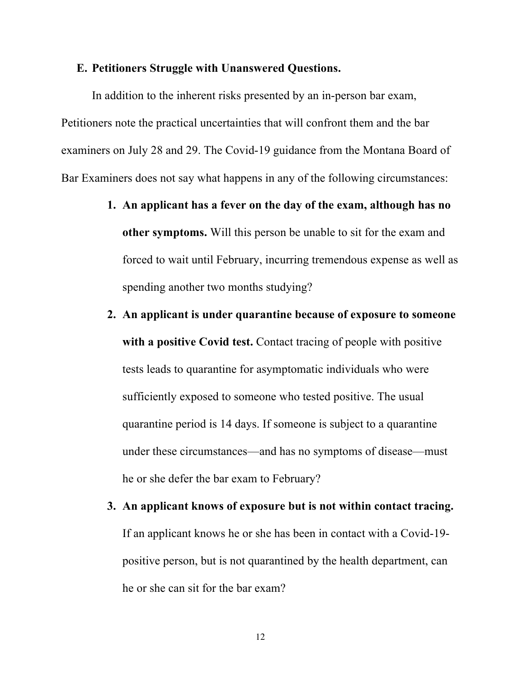### **E. Petitioners Struggle with Unanswered Questions.**

In addition to the inherent risks presented by an in-person bar exam, Petitioners note the practical uncertainties that will confront them and the bar examiners on July 28 and 29. The Covid-19 guidance from the Montana Board of Bar Examiners does not say what happens in any of the following circumstances:

- **1. An applicant has a fever on the day of the exam, although has no other symptoms.** Will this person be unable to sit for the exam and forced to wait until February, incurring tremendous expense as well as spending another two months studying?
- **2. An applicant is under quarantine because of exposure to someone with a positive Covid test.** Contact tracing of people with positive tests leads to quarantine for asymptomatic individuals who were sufficiently exposed to someone who tested positive. The usual quarantine period is 14 days. If someone is subject to a quarantine under these circumstances—and has no symptoms of disease—must he or she defer the bar exam to February?
- **3. An applicant knows of exposure but is not within contact tracing.** If an applicant knows he or she has been in contact with a Covid-19 positive person, but is not quarantined by the health department, can he or she can sit for the bar exam?

12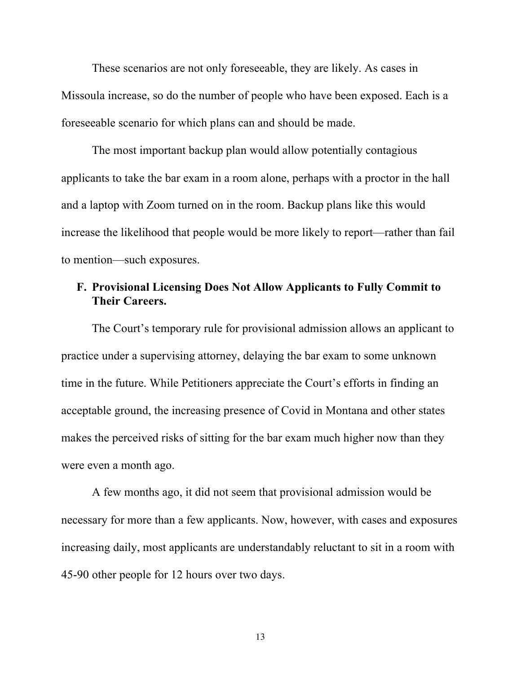These scenarios are not only foreseeable, they are likely. As cases in Missoula increase, so do the number of people who have been exposed. Each is a foreseeable scenario for which plans can and should be made.

The most important backup plan would allow potentially contagious applicants to take the bar exam in a room alone, perhaps with a proctor in the hall and a laptop with Zoom turned on in the room. Backup plans like this would increase the likelihood that people would be more likely to report—rather than fail to mention—such exposures.

# **F. Provisional Licensing Does Not Allow Applicants to Fully Commit to Their Careers.**

The Court's temporary rule for provisional admission allows an applicant to practice under a supervising attorney, delaying the bar exam to some unknown time in the future. While Petitioners appreciate the Court's efforts in finding an acceptable ground, the increasing presence of Covid in Montana and other states makes the perceived risks of sitting for the bar exam much higher now than they were even a month ago.

A few months ago, it did not seem that provisional admission would be necessary for more than a few applicants. Now, however, with cases and exposures increasing daily, most applicants are understandably reluctant to sit in a room with 45-90 other people for 12 hours over two days.

13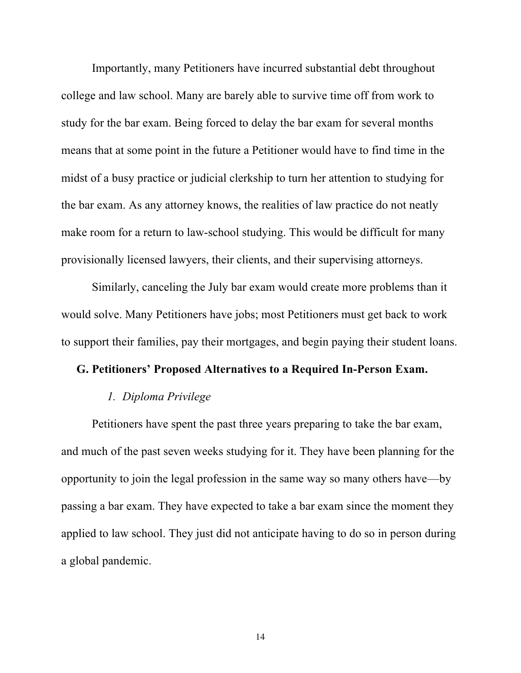Importantly, many Petitioners have incurred substantial debt throughout college and law school. Many are barely able to survive time off from work to study for the bar exam. Being forced to delay the bar exam for several months means that at some point in the future a Petitioner would have to find time in the midst of a busy practice or judicial clerkship to turn her attention to studying for the bar exam. As any attorney knows, the realities of law practice do not neatly make room for a return to law-school studying. This would be difficult for many provisionally licensed lawyers, their clients, and their supervising attorneys.

Similarly, canceling the July bar exam would create more problems than it would solve. Many Petitioners have jobs; most Petitioners must get back to work to support their families, pay their mortgages, and begin paying their student loans.

# **G. Petitioners' Proposed Alternatives to a Required In-Person Exam.**

# *1. Diploma Privilege*

Petitioners have spent the past three years preparing to take the bar exam, and much of the past seven weeks studying for it. They have been planning for the opportunity to join the legal profession in the same way so many others have—by passing a bar exam. They have expected to take a bar exam since the moment they applied to law school. They just did not anticipate having to do so in person during a global pandemic.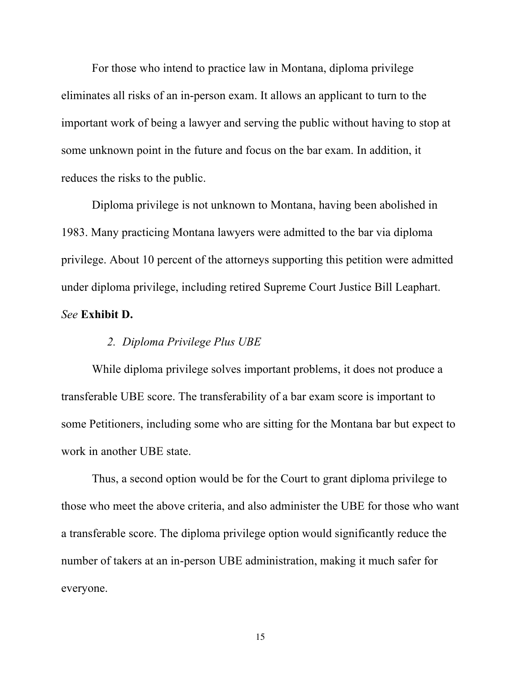For those who intend to practice law in Montana, diploma privilege eliminates all risks of an in-person exam. It allows an applicant to turn to the important work of being a lawyer and serving the public without having to stop at some unknown point in the future and focus on the bar exam. In addition, it reduces the risks to the public.

Diploma privilege is not unknown to Montana, having been abolished in 1983. Many practicing Montana lawyers were admitted to the bar via diploma privilege. About 10 percent of the attorneys supporting this petition were admitted under diploma privilege, including retired Supreme Court Justice Bill Leaphart. *See* **Exhibit D.**

# *2. Diploma Privilege Plus UBE*

While diploma privilege solves important problems, it does not produce a transferable UBE score. The transferability of a bar exam score is important to some Petitioners, including some who are sitting for the Montana bar but expect to work in another UBE state.

Thus, a second option would be for the Court to grant diploma privilege to those who meet the above criteria, and also administer the UBE for those who want a transferable score. The diploma privilege option would significantly reduce the number of takers at an in-person UBE administration, making it much safer for everyone.

15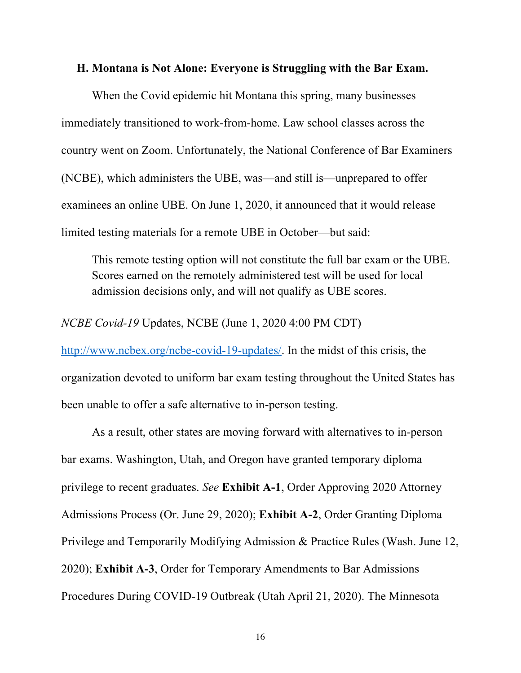#### **H. Montana is Not Alone: Everyone is Struggling with the Bar Exam.**

When the Covid epidemic hit Montana this spring, many businesses immediately transitioned to work-from-home. Law school classes across the country went on Zoom. Unfortunately, the National Conference of Bar Examiners (NCBE), which administers the UBE, was—and still is—unprepared to offer examinees an online UBE. On June 1, 2020, it announced that it would release limited testing materials for a remote UBE in October—but said:

This remote testing option will not constitute the full bar exam or the UBE. Scores earned on the remotely administered test will be used for local admission decisions only, and will not qualify as UBE scores.

*NCBE Covid-19* Updates, NCBE (June 1, 2020 4:00 PM CDT)

http://www.ncbex.org/ncbe-covid-19-updates/. In the midst of this crisis, the organization devoted to uniform bar exam testing throughout the United States has been unable to offer a safe alternative to in-person testing.

As a result, other states are moving forward with alternatives to in-person bar exams. Washington, Utah, and Oregon have granted temporary diploma privilege to recent graduates. *See* **Exhibit A-1**, Order Approving 2020 Attorney Admissions Process (Or. June 29, 2020); **Exhibit A-2**, Order Granting Diploma Privilege and Temporarily Modifying Admission & Practice Rules (Wash. June 12, 2020); **Exhibit A-3**, Order for Temporary Amendments to Bar Admissions Procedures During COVID-19 Outbreak (Utah April 21, 2020). The Minnesota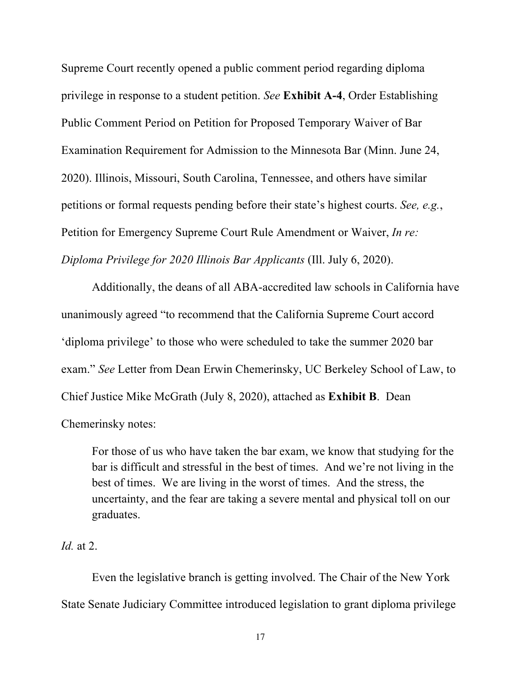Supreme Court recently opened a public comment period regarding diploma privilege in response to a student petition. *See* **Exhibit A-4**, Order Establishing Public Comment Period on Petition for Proposed Temporary Waiver of Bar Examination Requirement for Admission to the Minnesota Bar (Minn. June 24, 2020). Illinois, Missouri, South Carolina, Tennessee, and others have similar petitions or formal requests pending before their state's highest courts. *See, e.g.*, Petition for Emergency Supreme Court Rule Amendment or Waiver, *In re: Diploma Privilege for 2020 Illinois Bar Applicants* (Ill. July 6, 2020).

Additionally, the deans of all ABA-accredited law schools in California have unanimously agreed "to recommend that the California Supreme Court accord 'diploma privilege' to those who were scheduled to take the summer 2020 bar exam." *See* Letter from Dean Erwin Chemerinsky, UC Berkeley School of Law, to Chief Justice Mike McGrath (July 8, 2020), attached as **Exhibit B**. Dean Chemerinsky notes:

For those of us who have taken the bar exam, we know that studying for the bar is difficult and stressful in the best of times. And we're not living in the best of times. We are living in the worst of times. And the stress, the uncertainty, and the fear are taking a severe mental and physical toll on our graduates.

# *Id.* at 2.

Even the legislative branch is getting involved. The Chair of the New York State Senate Judiciary Committee introduced legislation to grant diploma privilege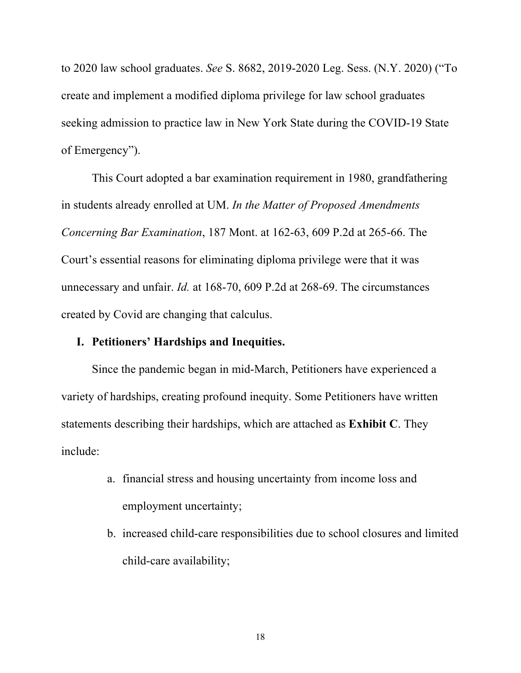to 2020 law school graduates. *See* S. 8682, 2019-2020 Leg. Sess. (N.Y. 2020) ("To create and implement a modified diploma privilege for law school graduates seeking admission to practice law in New York State during the COVID-19 State of Emergency").

This Court adopted a bar examination requirement in 1980, grandfathering in students already enrolled at UM. *In the Matter of Proposed Amendments Concerning Bar Examination*, 187 Mont. at 162-63, 609 P.2d at 265-66. The Court's essential reasons for eliminating diploma privilege were that it was unnecessary and unfair. *Id.* at 168-70, 609 P.2d at 268-69. The circumstances created by Covid are changing that calculus.

# **I. Petitioners' Hardships and Inequities.**

Since the pandemic began in mid-March, Petitioners have experienced a variety of hardships, creating profound inequity. Some Petitioners have written statements describing their hardships, which are attached as **Exhibit C**. They include:

- a. financial stress and housing uncertainty from income loss and employment uncertainty;
- b. increased child-care responsibilities due to school closures and limited child-care availability;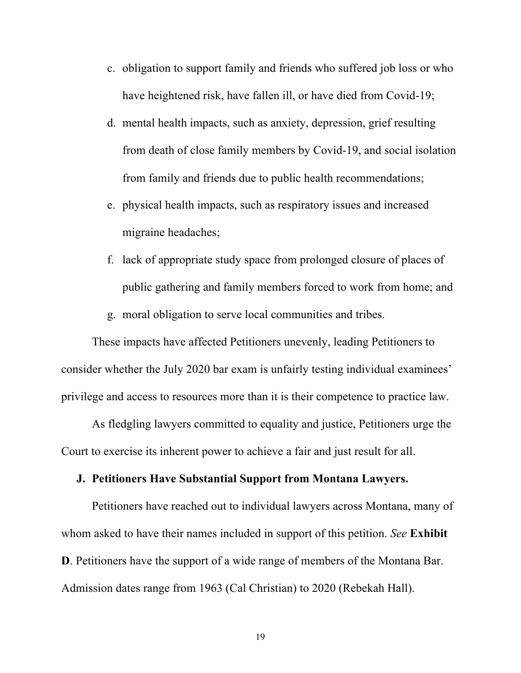- c. obligation to support family and friends who suffered job loss or who have heightened risk, have fallen ill, or have died from Covid-19;
- d. mental health impacts, such as anxiety, depression, grief resulting from death of close family members by Covid-19, and social isolation from family and friends due to public health recommendations;
- e. physical health impacts, such as respiratory issues and increased migraine headaches;
- f. lack of appropriate study space from prolonged closure of places of public gathering and family members forced to work from home; and
- g. moral obligation to serve local communities and tribes.

These impacts have affected Petitioners unevenly, leading Petitioners to consider whether the July 2020 bar exam is unfairly testing individual examinees' privilege and access to resources more than it is their competence to practice law.

As fledgling lawyers committed to equality and justice, Petitioners urge the Court to exercise its inherent power to achieve a fair and just result for all.

# **J. Petitioners Have Substantial Support from Montana Lawyers.**

Petitioners have reached out to individual lawyers across Montana, many of whom asked to have their names included in support of this petition. *See* **Exhibit D**. Petitioners have the support of a wide range of members of the Montana Bar. Admission dates range from 1963 (Cal Christian) to 2020 (Rebekah Hall).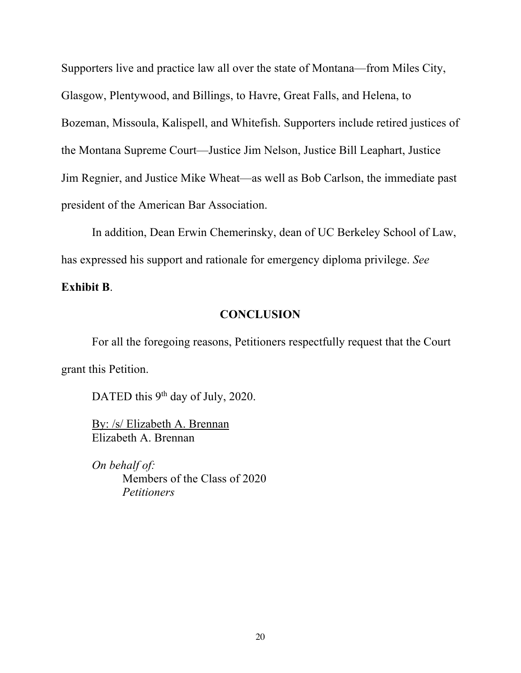Supporters live and practice law all over the state of Montana—from Miles City, Glasgow, Plentywood, and Billings, to Havre, Great Falls, and Helena, to Bozeman, Missoula, Kalispell, and Whitefish. Supporters include retired justices of the Montana Supreme Court—Justice Jim Nelson, Justice Bill Leaphart, Justice Jim Regnier, and Justice Mike Wheat—as well as Bob Carlson, the immediate past president of the American Bar Association.

In addition, Dean Erwin Chemerinsky, dean of UC Berkeley School of Law, has expressed his support and rationale for emergency diploma privilege. *See*

**Exhibit B**.

# **CONCLUSION**

For all the foregoing reasons, Petitioners respectfully request that the Court grant this Petition.

DATED this 9<sup>th</sup> day of July, 2020.

By: /s/ Elizabeth A. Brennan Elizabeth A. Brennan

*On behalf of:* Members of the Class of 2020 *Petitioners*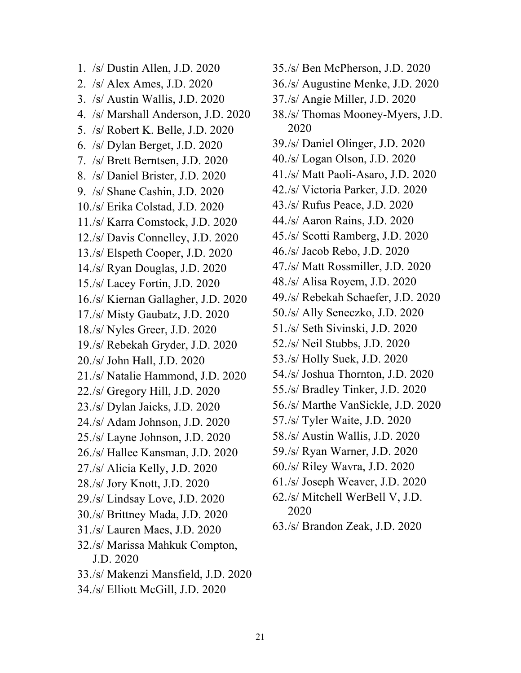1. /s/ Dustin Allen, J.D. 2020 2. /s/ Alex Ames, J.D. 2020 3. /s/ Austin Wallis, J.D. 2020 4. /s/ Marshall Anderson, J.D. 2020 5. /s/ Robert K. Belle, J.D. 2020 6. /s/ Dylan Berget, J.D. 2020 7. /s/ Brett Berntsen, J.D. 2020 8. /s/ Daniel Brister, J.D. 2020 9. /s/ Shane Cashin, J.D. 2020 10./s/ Erika Colstad, J.D. 2020 11./s/ Karra Comstock, J.D. 2020 12./s/ Davis Connelley, J.D. 2020 13./s/ Elspeth Cooper, J.D. 2020 14./s/ Ryan Douglas, J.D. 2020 15./s/ Lacey Fortin, J.D. 2020 16./s/ Kiernan Gallagher, J.D. 2020 17./s/ Misty Gaubatz, J.D. 2020 18./s/ Nyles Greer, J.D. 2020 19./s/ Rebekah Gryder, J.D. 2020 20./s/ John Hall, J.D. 2020 21./s/ Natalie Hammond, J.D. 2020 22./s/ Gregory Hill, J.D. 2020 23./s/ Dylan Jaicks, J.D. 2020 24./s/ Adam Johnson, J.D. 2020 25./s/ Layne Johnson, J.D. 2020 26./s/ Hallee Kansman, J.D. 2020 27./s/ Alicia Kelly, J.D. 2020 28./s/ Jory Knott, J.D. 2020 29./s/ Lindsay Love, J.D. 2020 30./s/ Brittney Mada, J.D. 2020 31./s/ Lauren Maes, J.D. 2020 32./s/ Marissa Mahkuk Compton, J.D. 2020 33./s/ Makenzi Mansfield, J.D. 2020 34./s/ Elliott McGill, J.D. 2020

36./s/ Augustine Menke, J.D. 2020 37./s/ Angie Miller, J.D. 2020 38./s/ Thomas Mooney-Myers, J.D. 2020 39./s/ Daniel Olinger, J.D. 2020 40./s/ Logan Olson, J.D. 2020 41./s/ Matt Paoli-Asaro, J.D. 2020 42./s/ Victoria Parker, J.D. 2020 43./s/ Rufus Peace, J.D. 2020 44./s/ Aaron Rains, J.D. 2020 45./s/ Scotti Ramberg, J.D. 2020 46./s/ Jacob Rebo, J.D. 2020 47./s/ Matt Rossmiller, J.D. 2020 48./s/ Alisa Royem, J.D. 2020 49./s/ Rebekah Schaefer, J.D. 2020 50./s/ Ally Seneczko, J.D. 2020 51./s/ Seth Sivinski, J.D. 2020 52./s/ Neil Stubbs, J.D. 2020 53./s/ Holly Suek, J.D. 2020 54./s/ Joshua Thornton, J.D. 2020 55./s/ Bradley Tinker, J.D. 2020 56./s/ Marthe VanSickle, J.D. 2020 57./s/ Tyler Waite, J.D. 2020 58./s/ Austin Wallis, J.D. 2020 59./s/ Ryan Warner, J.D. 2020 60./s/ Riley Wavra, J.D. 2020 61./s/ Joseph Weaver, J.D. 2020 62./s/ Mitchell WerBell V, J.D. 2020 63./s/ Brandon Zeak, J.D. 2020

35./s/ Ben McPherson, J.D. 2020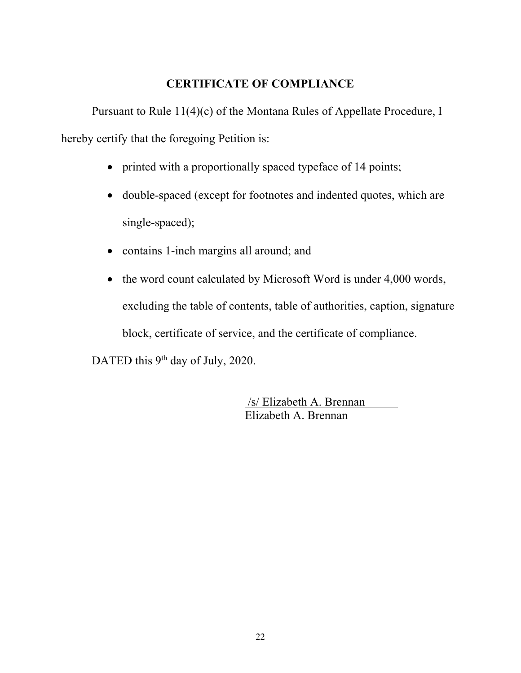# **CERTIFICATE OF COMPLIANCE**

Pursuant to Rule 11(4)(c) of the Montana Rules of Appellate Procedure, I hereby certify that the foregoing Petition is:

- printed with a proportionally spaced typeface of 14 points;
- double-spaced (except for footnotes and indented quotes, which are single-spaced);
- contains 1-inch margins all around; and
- the word count calculated by Microsoft Word is under 4,000 words, excluding the table of contents, table of authorities, caption, signature block, certificate of service, and the certificate of compliance.

DATED this 9<sup>th</sup> day of July, 2020.

/s/ Elizabeth A. Brennan Elizabeth A. Brennan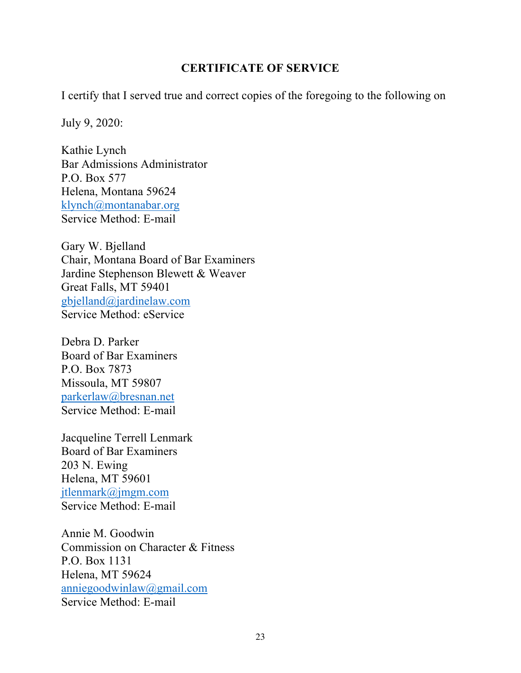# **CERTIFICATE OF SERVICE**

I certify that I served true and correct copies of the foregoing to the following on

July 9, 2020:

Kathie Lynch Bar Admissions Administrator P.O. Box 577 Helena, Montana 59624 klynch@montanabar.org Service Method: E-mail

Gary W. Bjelland Chair, Montana Board of Bar Examiners Jardine Stephenson Blewett & Weaver Great Falls, MT 59401 gbjelland@jardinelaw.com Service Method: eService

Debra D. Parker Board of Bar Examiners P.O. Box 7873 Missoula, MT 59807 parkerlaw@bresnan.net Service Method: E-mail

Jacqueline Terrell Lenmark Board of Bar Examiners 203 N. Ewing Helena, MT 59601 jtlenmark@jmgm.com Service Method: E-mail

Annie M. Goodwin Commission on Character & Fitness P.O. Box 1131 Helena, MT 59624 anniegoodwinlaw@gmail.com Service Method: E-mail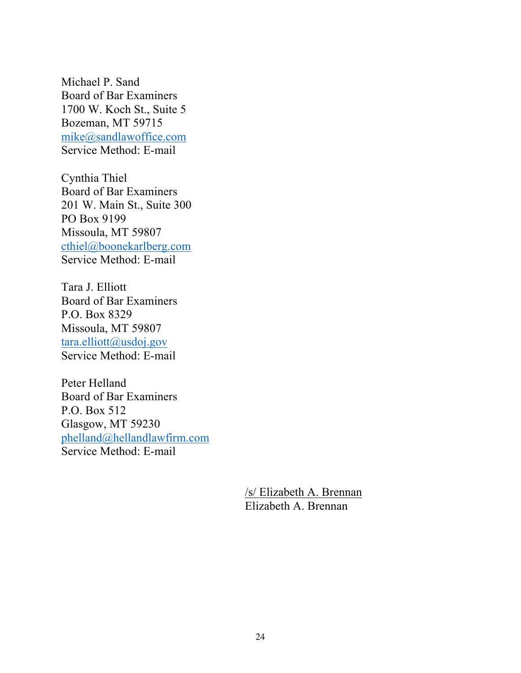Michael P. Sand Board of Bar Examiners 1700 W. Koch St., Suite 5 Bozeman, MT 59715 mike@sandlawoffice.com Service Method: E-mail

Cynthia Thiel Board of Bar Examiners 201 W. Main St., Suite 300 PO Box 9199 Missoula, MT 59807 cthiel@boonekarlberg.com Service Method: E-mail

Tara J. Elliott Board of Bar Examiners P.O. Box 8329 Missoula, MT 59807 tara.elliott@usdoj.gov Service Method: E-mail

Peter Helland Board of Bar Examiners P.O. Box 512 Glasgow, MT 59230 phelland@hellandlawfirm.com Service Method: E-mail

> /s/ Elizabeth A. Brennan Elizabeth A. Brennan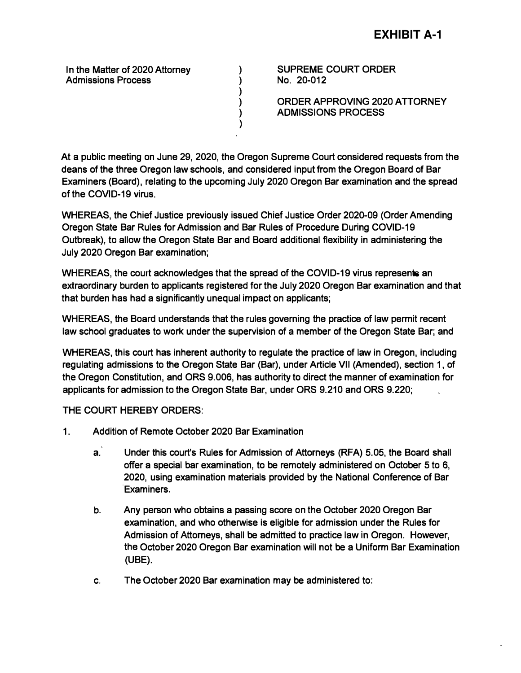**In the Matter of 2020 Attorney Admissions Process** 

**SUPREME COURT ORDER No. 20-012** 

**ORDER APPROVING 2020 ATTORNEY ADMISSIONS PROCESS** 

**At a public meeting on June 29, 2020, the Oregon Supreme Court considered requests from the deans of the three Oregon law schools, and considered input from the Oregon Board of Bar Examiners (Board), relating to the upcoming July 2020 Oregon Bar examination and the spread of the COVID-19 virus.** 

**) ) ) ) ) )** 

**WHEREAS, the Chief Justice previously issued Chief Justice Order 2020-09 (Order Amending Oregon State Bar Rules for Admission and Bar Rules of Procedure During COVID-19 Outbreak), to allow the Oregon State Bar and Board additional flexibility in administering the July 2020 Oregon Bar examination;** 

**WHEREAS, the court acknowledges that the spread of the COVID-19 virus represents an extraordinary burden to applicants registered for the July 2020 Oregon Bar examination and that that burden has had a significantly unequal impact on applicants;** 

**WHEREAS, the Board understands that the rules governing the practice of law permit recent law school graduates to work under the supervision of a member of the Oregon State Bar; and** 

**WHEREAS, this court has inherent authority to regulate the practice of law in Oregon, including regulating admissions to the Oregon State Bar (Bar), under Article VII (Amended), section 1, of**  the Oregon Constitution, and ORS 9.006, has authority to direct the manner of examination for applicants for admission to the Oregon State Bar, under ORS 9.210 and ORS 9.220;

**THE COURT HEREBY ORDERS:** 

- **1. Addition of Remote October 2020 Bar Examination**
	- **a. Under this court's Rules for Admission of Attorneys (RFA) 5.05, the Board shall offer a special bar examination, to be remotely administered on October 5 to 6, 2020, using examination materials provided by the National Conference of Bar ·Examiners.**
	- **b. Any person who obtains a passing score on the October 2020 Oregon Bar examination, and who otherwise is eligible for admission under the Rules for Admission of Attorneys, shall be admitted to practice law in Oregon. However, the October 2020 Oregon Bar examination will not be a Uniform Bar Examination (UBE).**
	- **c. The October 2020 Bar examination may be administered to:**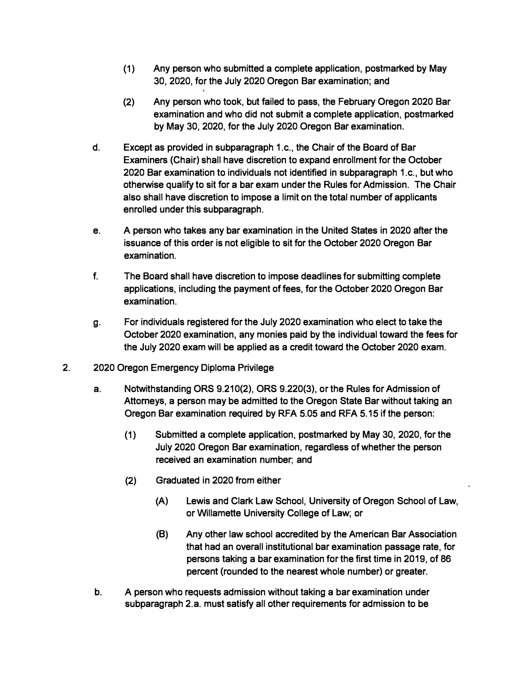- **(1) Any person who submitted a complete application, postmarked by May 30, 2020, for the July 2020 Oregon Bar examination; and**
- **(2) Any person who took, but failed to pass, the February Oregon 2020 Bar examination and who did not submit a complete application, postmarked by May 30, 2020, for the July 2020 Oregon Bar examination.**
- **d. Except as provided in subparagraph 1.c., the Chair of the Board of Bar Examiners (Chair) shall have discretion to expand enrollment for the October 2020 Bar examination to individuals not identified in subparagraph 1.c., but who otherwise qualify to sit for a bar exam under the Rules for Admission. The Chair also shall have discretion to impose a limit on the total number of applicants enrolled under this subparagraph.**
- **e. A person who takes any bar examination in the United States in 2020 after the issuance of this order is not eligible to sit for the October 2020 Oregon Bar examination.**
- **f. The Board shall have discretion to impose deadlines for submitting complete applications, including the payment of fees, for the October 2020 Oregon Bar examination.**
- **g. For individuals registered for the July 2020 examination who elect to take the October 2020 examination, any monies paid by the individual toward the fees for the July 2020 exam will be applied as a credit toward the October 2020 exam.**
- **2. 2020 Oregon Emergency Diploma Privilege**
	- **a. Notwithstanding ORS 9.210(2), ORS 9.220(3), or the Rules for Admission of Attorneys, a person may be admitted to the Oregon State Bar without taking an Oregon Bar examination required by RFA 5.05 and RFA 5.15 if the person:**
		- **(1) Submitted a complete application, postmarked by May 30, 2020, for the July 2020 Oregon Bar examination, regardless of whether the person received an examination number; and**
		- **(2) Graduated in 2020 from either**
			- **(A) Lewis and Clark Law School, University of Oregon School of Law, or Willamette University College of Law; or**
			- **(8) Any other law school accredited by the American Bar Association that had an overall institutional bar examination passage rate, for persons taking a bar examination for the first time in 2019, of 86 percent (rounded to the nearest whole number) or greater.**
	- **b. A person who requests admission without taking a bar examination under subparagraph 2.a. must satisfy all other requirements for admission to be**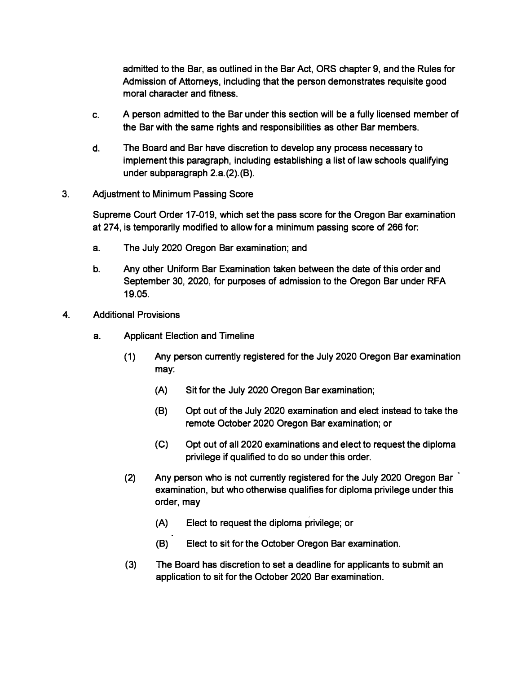**admitted to the Bar, as outlined in the Bar Act, ORS chapter 9, and the Rules for Admission of Attorneys, including that the person demonstrates requisite good moral character and fitness.** 

- **c. A person admitted to the Bar under this section will be a fully licensed member of the Bar with the same rights and responsibilities as other Bar members.**
- **d. The Board and Bar have discretion to develop any process necessary to implement this paragraph, including establishing a list of law schools qualifying under subparagraph 2.a.(2).(B).**
- **3. Adjustment to Minimum Passing Score**

**Supreme Court Order 17-019, which set the pass score for the Oregon Bar examination at 274, is temporarily modified to allow for a minimum passing score of 266 for:**

- **a. The July 2020 Oregon Bar examination; and**
- **b. Any other Uniform Bar Examination taken between the date of this order and September 30, 2020, for purposes of admission to the Oregon Bar under RFA 19.05.**
- **4. Additional Provisions**
	- **a. Applicant Election and Timeline**
		- **(1) Any person currently registered for the July 2020 Oregon Bar examination may:**
			- **(A) Sit for the July 2020 Oregon Bar examination;**
			- **(B) Opt out of the July 2020 examination and elect instead to take the remote October 2020 Oregon Bar examination; or**
			- **(C) Opt out of all 2020 examinations and elect to request the diploma privilege if qualified to do so under this order.**
		- **(2) Any person who is not currently registered for the July 2020 Oregon Bar examination, but who otherwise qualifies for diploma privilege under this order, may**
			- **(A) Elect to request the diploma privilege; or**
			- **(B) Elect to sit for the October Oregon Bar examination.**
		- **(3) The Board has discretion to set a deadline for applicants to submit an application to sit for the October 2020 Bar examination.**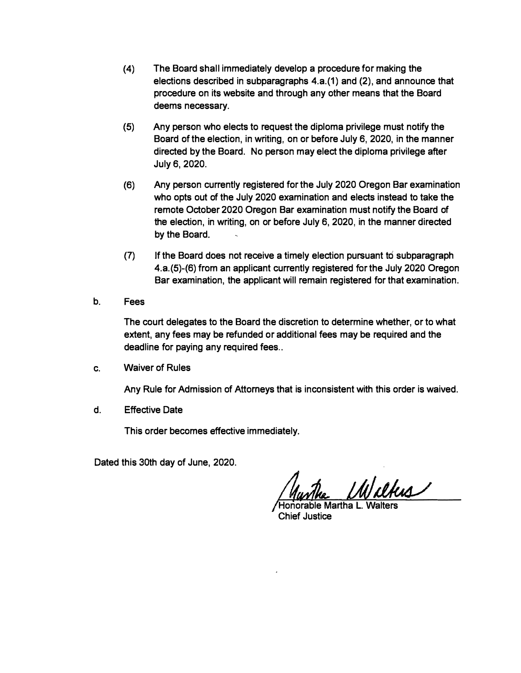- **(4) The Board shall immediately develop a procedure for making the elections described in subparagraphs 4.a.{1) and (2), and announce that procedure on its website and through any other means that the Board deems necessary.**
- **(5) Any person who elects to request the diploma privilege must notify the Board of the election, in writing, on or before July 6, 2020, in the manner directed by the Board. No person may elect the diploma privilege after July 6, 2020.**
- **(6) Any person currently registered for the July 2020 Oregon Bar examination who opts out of the July 2020 examination and elects instead to take the remote October 2020 Oregon Bar examination must notify the Board of the election, in writing, on or before July 6, 2020, in the manner directed by the Board.**
- **(7) If the Board does not receive a timely election pursuant to subparagraph 4.a.{5)-(6) from an applicant currently registered for the July 2020 Oregon Bar examination, the applicant will remain registered for that examination.**
- **b. Fees**

**The court delegates to the Board the discretion to determine whether, or to what extent, any fees may be refunded or additional fees may be required and the deadline for paying any required fees ..**

**c. Waiver of Rules**

**Any Rule for Admission of Attorneys that is inconsistent with this order is waived.**

**d. Effective Date**

**This order becomes effective immediately.**

**Dated this 30th day of June, 2020.** 

Wilkes

**Honorable Martha L. Walters Chief Justice**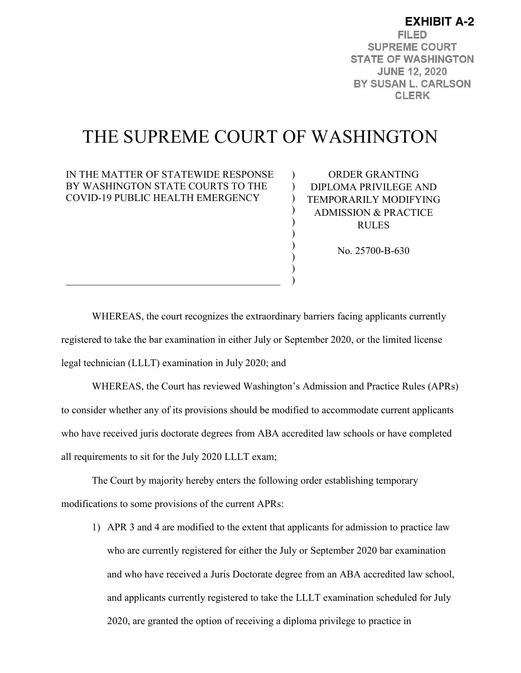**EXHIBIT A-2FILED SUPREME COURT STATE OF WASHINGTON JUNE 12, 2020** BY SUSAN L. CARLSON **CLERK** 

# THE SUPREME COURT OF WASHINGTON

 $\mathcal{L}$  $\lambda$  $\mathcal{L}$ ) ) ) ) ) ) )

### IN THE MATTER OF STATEWIDE RESPONSE BY WASHINGTON STATE COURTS TO THE COVID-19 PUBLIC HEALTH EMERGENCY

 $\mathcal{L}_\mathcal{L}$  , which is a set of the set of the set of the set of the set of the set of the set of the set of the set of the set of the set of the set of the set of the set of the set of the set of the set of the set of

ORDER GRANTING DIPLOMA PRIVILEGE AND TEMPORARILY MODIFYING ADMISSION & PRACTICE RULES

No. 25700-B-630

WHEREAS, the court recognizes the extraordinary barriers facing applicants currently registered to take the bar examination in either July or September 2020, or the limited license legal technician (LLLT) examination in July 2020; and

WHEREAS, the Court has reviewed Washington's Admission and Practice Rules (APRs) to consider whether any of its provisions should be modified to accommodate current applicants who have received juris doctorate degrees from ABA accredited law schools or have completed all requirements to sit for the July 2020 LLLT exam;

The Court by majority hereby enters the following order establishing temporary modifications to some provisions of the current APRs:

1) APR 3 and 4 are modified to the extent that applicants for admission to practice law who are currently registered for either the July or September 2020 bar examination and who have received a Juris Doctorate degree from an ABA accredited law school, and applicants currently registered to take the LLLT examination scheduled for July 2020, are granted the option of receiving a diploma privilege to practice in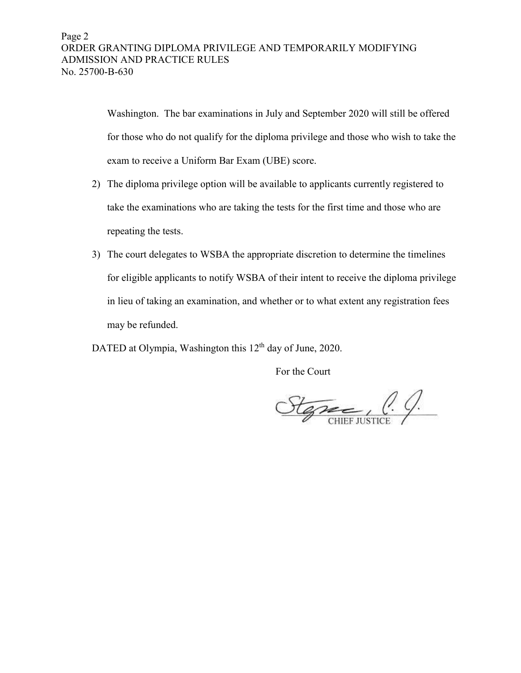Washington. The bar examinations in July and September 2020 will still be offered for those who do not qualify for the diploma privilege and those who wish to take the exam to receive a Uniform Bar Exam (UBE) score.

- 2) The diploma privilege option will be available to applicants currently registered to take the examinations who are taking the tests for the first time and those who are repeating the tests.
- 3) The court delegates to WSBA the appropriate discretion to determine the timelines for eligible applicants to notify WSBA of their intent to receive the diploma privilege in lieu of taking an examination, and whether or to what extent any registration fees may be refunded.

DATED at Olympia, Washington this 12<sup>th</sup> day of June, 2020.

For the Court

Stephen C. C.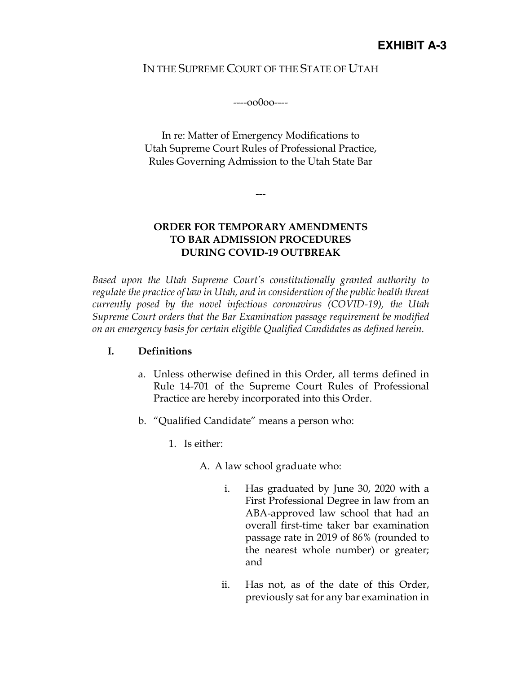# IN THE SUPREME COURT OF THE STATE OF UTAH

----oo0oo----

In re: Matter of Emergency Modifications to Utah Supreme Court Rules of Professional Practice, Rules Governing Admission to the Utah State Bar

---

# **ORDER FOR TEMPORARY AMENDMENTS TO BAR ADMISSION PROCEDURES DURING COVID-19 OUTBREAK**

*Based upon the Utah Supreme Court's constitutionally granted authority to regulate the practice of law in Utah, and in consideration of the public health threat currently posed by the novel infectious coronavirus (COVID-19), the Utah Supreme Court orders that the Bar Examination passage requirement be modified on an emergency basis for certain eligible Qualified Candidates as defined herein.* 

# **I. Definitions**

- a. Unless otherwise defined in this Order, all terms defined in Rule 14-701 of the Supreme Court Rules of Professional Practice are hereby incorporated into this Order.
- b. "Qualified Candidate" means a person who:
	- 1. Is either:
		- A. A law school graduate who:
			- i. Has graduated by June 30, 2020 with a First Professional Degree in law from an ABA-approved law school that had an overall first-time taker bar examination passage rate in 2019 of 86% (rounded to the nearest whole number) or greater; and
			- ii. Has not, as of the date of this Order, previously sat for any bar examination in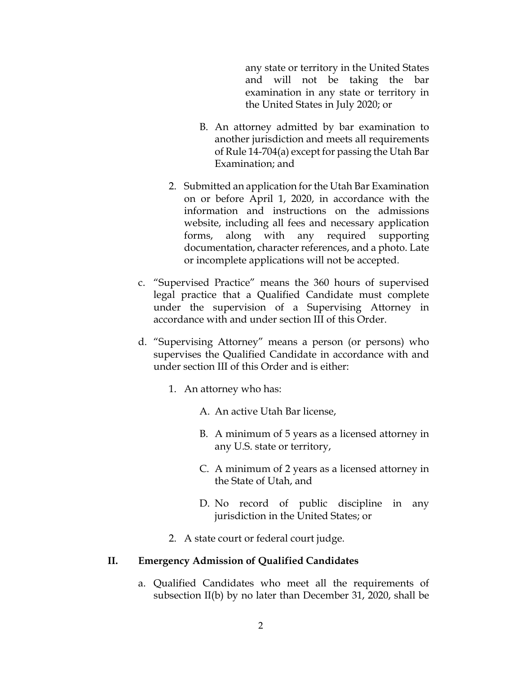any state or territory in the United States and will not be taking the bar examination in any state or territory in the United States in July 2020; or

- B. An attorney admitted by bar examination to another jurisdiction and meets all requirements of Rule 14-704(a) except for passing the Utah Bar Examination; and
- 2. Submitted an application for the Utah Bar Examination on or before April 1, 2020, in accordance with the information and instructions on the admissions website, including all fees and necessary application forms, along with any required supporting documentation, character references, and a photo. Late or incomplete applications will not be accepted.
- c. "Supervised Practice" means the 360 hours of supervised legal practice that a Qualified Candidate must complete under the supervision of a Supervising Attorney in accordance with and under section III of this Order.
- d. "Supervising Attorney" means a person (or persons) who supervises the Qualified Candidate in accordance with and under section III of this Order and is either:
	- 1. An attorney who has:
		- A. An active Utah Bar license,
		- B. A minimum of 5 years as a licensed attorney in any U.S. state or territory,
		- C. A minimum of 2 years as a licensed attorney in the State of Utah, and
		- D. No record of public discipline in any jurisdiction in the United States; or
	- 2. A state court or federal court judge.

#### **II. Emergency Admission of Qualified Candidates**

a. Qualified Candidates who meet all the requirements of subsection II(b) by no later than December 31, 2020, shall be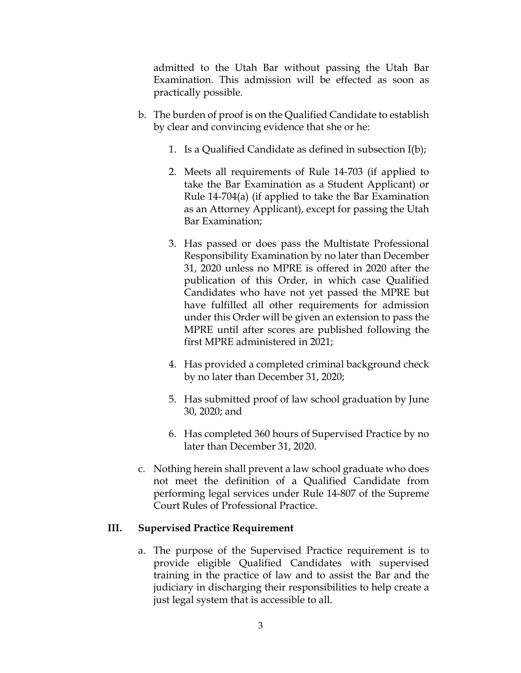admitted to the Utah Bar without passing the Utah Bar Examination. This admission will be effected as soon as practically possible.

- b. The burden of proof is on the Qualified Candidate to establish by clear and convincing evidence that she or he:
	- 1. Is a Qualified Candidate as defined in subsection I(b);
	- 2. Meets all requirements of Rule 14-703 (if applied to take the Bar Examination as a Student Applicant) or Rule 14-704(a) (if applied to take the Bar Examination as an Attorney Applicant), except for passing the Utah Bar Examination;
	- 3. Has passed or does pass the Multistate Professional Responsibility Examination by no later than December 31, 2020 unless no MPRE is offered in 2020 after the publication of this Order, in which case Qualified Candidates who have not yet passed the MPRE but have fulfilled all other requirements for admission under this Order will be given an extension to pass the MPRE until after scores are published following the first MPRE administered in 2021;
	- 4. Has provided a completed criminal background check by no later than December 31, 2020;
	- 5. Has submitted proof of law school graduation by June 30, 2020; and
	- 6. Has completed 360 hours of Supervised Practice by no later than December 31, 2020.
- c. Nothing herein shall prevent a law school graduate who does not meet the definition of a Qualified Candidate from performing legal services under Rule 14-807 of the Supreme Court Rules of Professional Practice.

# **III. Supervised Practice Requirement**

a. The purpose of the Supervised Practice requirement is to provide eligible Qualified Candidates with supervised training in the practice of law and to assist the Bar and the judiciary in discharging their responsibilities to help create a just legal system that is accessible to all.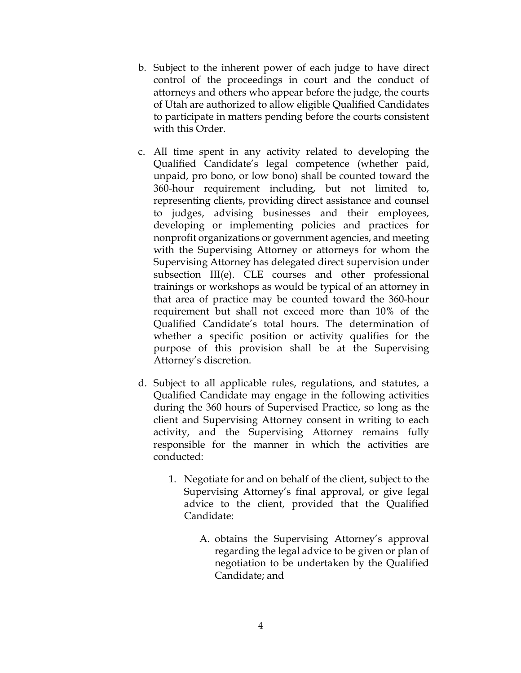- b. Subject to the inherent power of each judge to have direct control of the proceedings in court and the conduct of attorneys and others who appear before the judge, the courts of Utah are authorized to allow eligible Qualified Candidates to participate in matters pending before the courts consistent with this Order.
- c. All time spent in any activity related to developing the Qualified Candidate's legal competence (whether paid, unpaid, pro bono, or low bono) shall be counted toward the 360-hour requirement including, but not limited to, representing clients, providing direct assistance and counsel to judges, advising businesses and their employees, developing or implementing policies and practices for nonprofit organizations or government agencies, and meeting with the Supervising Attorney or attorneys for whom the Supervising Attorney has delegated direct supervision under subsection III(e). CLE courses and other professional trainings or workshops as would be typical of an attorney in that area of practice may be counted toward the 360-hour requirement but shall not exceed more than 10% of the Qualified Candidate's total hours. The determination of whether a specific position or activity qualifies for the purpose of this provision shall be at the Supervising Attorney's discretion.
- d. Subject to all applicable rules, regulations, and statutes, a Qualified Candidate may engage in the following activities during the 360 hours of Supervised Practice, so long as the client and Supervising Attorney consent in writing to each activity, and the Supervising Attorney remains fully responsible for the manner in which the activities are conducted:
	- 1. Negotiate for and on behalf of the client, subject to the Supervising Attorney's final approval, or give legal advice to the client, provided that the Qualified Candidate:
		- A. obtains the Supervising Attorney's approval regarding the legal advice to be given or plan of negotiation to be undertaken by the Qualified Candidate; and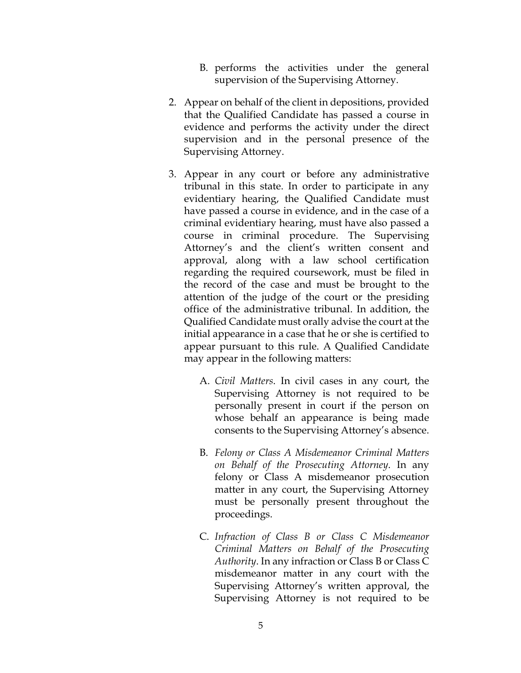- B. performs the activities under the general supervision of the Supervising Attorney.
- 2. Appear on behalf of the client in depositions, provided that the Qualified Candidate has passed a course in evidence and performs the activity under the direct supervision and in the personal presence of the Supervising Attorney.
- 3. Appear in any court or before any administrative tribunal in this state. In order to participate in any evidentiary hearing, the Qualified Candidate must have passed a course in evidence, and in the case of a criminal evidentiary hearing, must have also passed a course in criminal procedure. The Supervising Attorney's and the client's written consent and approval, along with a law school certification regarding the required coursework, must be filed in the record of the case and must be brought to the attention of the judge of the court or the presiding office of the administrative tribunal. In addition, the Qualified Candidate must orally advise the court at the initial appearance in a case that he or she is certified to appear pursuant to this rule. A Qualified Candidate may appear in the following matters:
	- A. *Civil Matters*. In civil cases in any court, the Supervising Attorney is not required to be personally present in court if the person on whose behalf an appearance is being made consents to the Supervising Attorney's absence.
	- B. *Felony or Class A Misdemeanor Criminal Matters on Behalf of the Prosecuting Attorney*. In any felony or Class A misdemeanor prosecution matter in any court, the Supervising Attorney must be personally present throughout the proceedings.
	- C. *Infraction of Class B or Class C Misdemeanor Criminal Matters on Behalf of the Prosecuting Authority*. In any infraction or Class B or Class C misdemeanor matter in any court with the Supervising Attorney's written approval, the Supervising Attorney is not required to be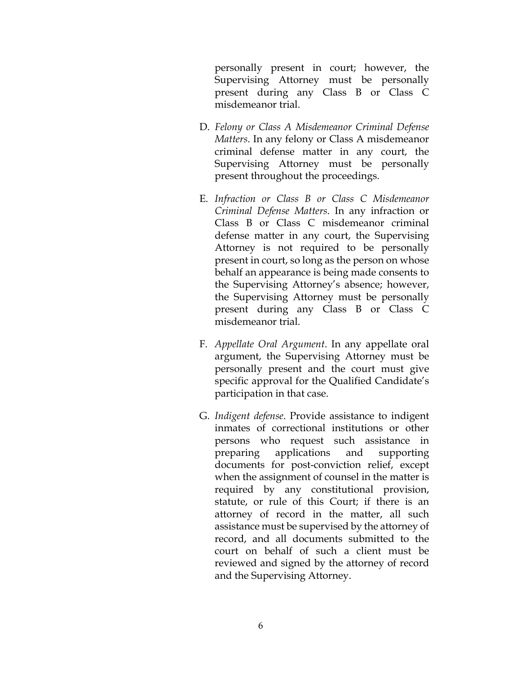personally present in court; however, the Supervising Attorney must be personally present during any Class B or Class C misdemeanor trial.

- D. *Felony or Class A Misdemeanor Criminal Defense Matters*. In any felony or Class A misdemeanor criminal defense matter in any court, the Supervising Attorney must be personally present throughout the proceedings.
- E. *Infraction or Class B or Class C Misdemeanor Criminal Defense Matters*. In any infraction or Class B or Class C misdemeanor criminal defense matter in any court, the Supervising Attorney is not required to be personally present in court, so long as the person on whose behalf an appearance is being made consents to the Supervising Attorney's absence; however, the Supervising Attorney must be personally present during any Class B or Class C misdemeanor trial.
- F. *Appellate Oral Argument*. In any appellate oral argument, the Supervising Attorney must be personally present and the court must give specific approval for the Qualified Candidate's participation in that case.
- G. *Indigent defense*. Provide assistance to indigent inmates of correctional institutions or other persons who request such assistance in preparing applications and supporting documents for post-conviction relief, except when the assignment of counsel in the matter is required by any constitutional provision, statute, or rule of this Court; if there is an attorney of record in the matter, all such assistance must be supervised by the attorney of record, and all documents submitted to the court on behalf of such a client must be reviewed and signed by the attorney of record and the Supervising Attorney.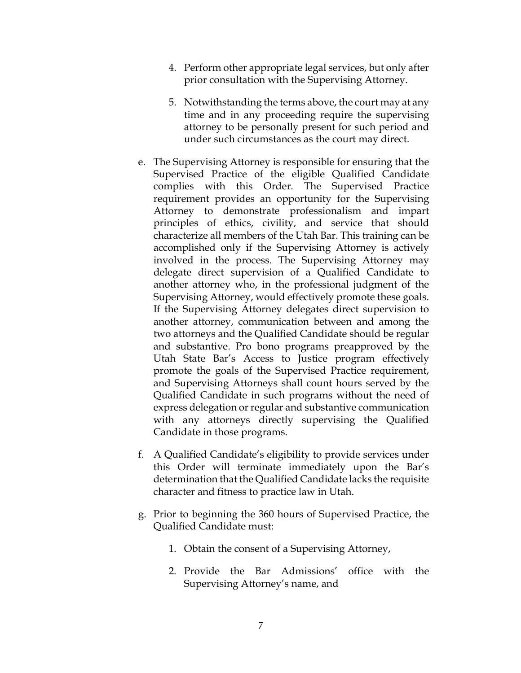- 4. Perform other appropriate legal services, but only after prior consultation with the Supervising Attorney.
- 5. Notwithstanding the terms above, the court may at any time and in any proceeding require the supervising attorney to be personally present for such period and under such circumstances as the court may direct.
- e. The Supervising Attorney is responsible for ensuring that the Supervised Practice of the eligible Qualified Candidate complies with this Order. The Supervised Practice requirement provides an opportunity for the Supervising Attorney to demonstrate professionalism and impart principles of ethics, civility, and service that should characterize all members of the Utah Bar. This training can be accomplished only if the Supervising Attorney is actively involved in the process. The Supervising Attorney may delegate direct supervision of a Qualified Candidate to another attorney who, in the professional judgment of the Supervising Attorney, would effectively promote these goals. If the Supervising Attorney delegates direct supervision to another attorney, communication between and among the two attorneys and the Qualified Candidate should be regular and substantive. Pro bono programs preapproved by the Utah State Bar's Access to Justice program effectively promote the goals of the Supervised Practice requirement, and Supervising Attorneys shall count hours served by the Qualified Candidate in such programs without the need of express delegation or regular and substantive communication with any attorneys directly supervising the Qualified Candidate in those programs.
- f. A Qualified Candidate's eligibility to provide services under this Order will terminate immediately upon the Bar's determination that the Qualified Candidate lacks the requisite character and fitness to practice law in Utah.
- g. Prior to beginning the 360 hours of Supervised Practice, the Qualified Candidate must:
	- 1. Obtain the consent of a Supervising Attorney,
	- 2. Provide the Bar Admissions' office with the Supervising Attorney's name, and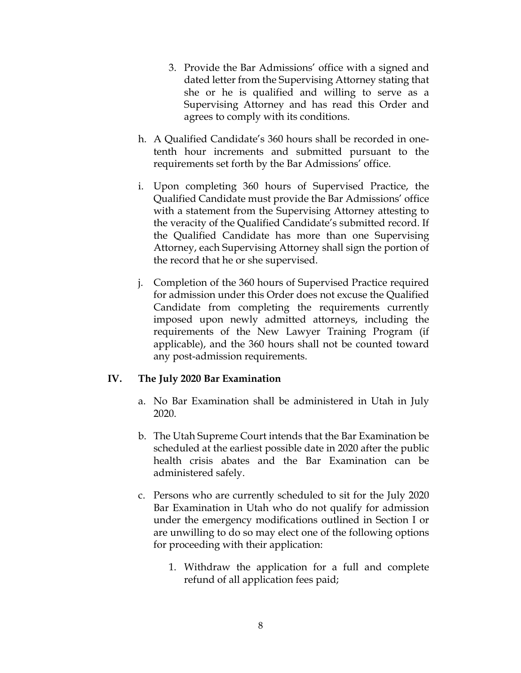- 3. Provide the Bar Admissions' office with a signed and dated letter from the Supervising Attorney stating that she or he is qualified and willing to serve as a Supervising Attorney and has read this Order and agrees to comply with its conditions.
- h. A Qualified Candidate's 360 hours shall be recorded in onetenth hour increments and submitted pursuant to the requirements set forth by the Bar Admissions' office.
- i. Upon completing 360 hours of Supervised Practice, the Qualified Candidate must provide the Bar Admissions' office with a statement from the Supervising Attorney attesting to the veracity of the Qualified Candidate's submitted record. If the Qualified Candidate has more than one Supervising Attorney, each Supervising Attorney shall sign the portion of the record that he or she supervised.
- j. Completion of the 360 hours of Supervised Practice required for admission under this Order does not excuse the Qualified Candidate from completing the requirements currently imposed upon newly admitted attorneys, including the requirements of the New Lawyer Training Program (if applicable), and the 360 hours shall not be counted toward any post-admission requirements.

# **IV. The July 2020 Bar Examination**

- a. No Bar Examination shall be administered in Utah in July 2020.
- b. The Utah Supreme Court intends that the Bar Examination be scheduled at the earliest possible date in 2020 after the public health crisis abates and the Bar Examination can be administered safely.
- c. Persons who are currently scheduled to sit for the July 2020 Bar Examination in Utah who do not qualify for admission under the emergency modifications outlined in Section I or are unwilling to do so may elect one of the following options for proceeding with their application:
	- 1. Withdraw the application for a full and complete refund of all application fees paid;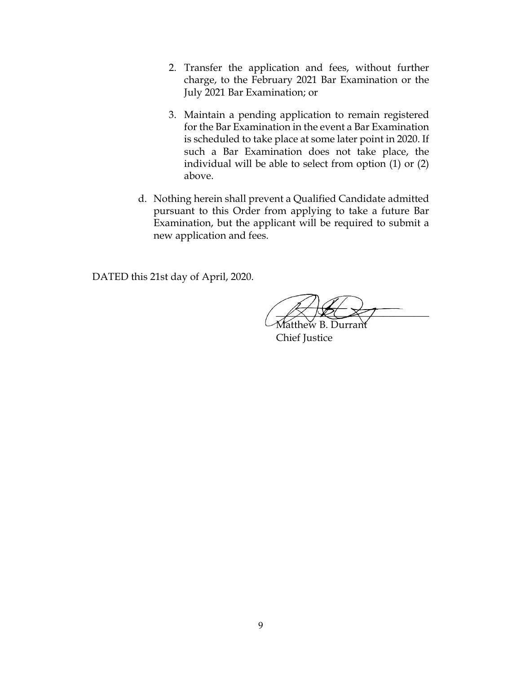- 2. Transfer the application and fees, without further charge, to the February 2021 Bar Examination or the July 2021 Bar Examination; or
- 3. Maintain a pending application to remain registered for the Bar Examination in the event a Bar Examination is scheduled to take place at some later point in 2020. If such a Bar Examination does not take place, the individual will be able to select from option (1) or (2) above.
- d. Nothing herein shall prevent a Qualified Candidate admitted pursuant to this Order from applying to take a future Bar Examination, but the applicant will be required to submit a new application and fees.

DATED this 21st day of April, 2020.

 $\angle X \times \angle Y$ 

Matthew B. Durrant Chief Justice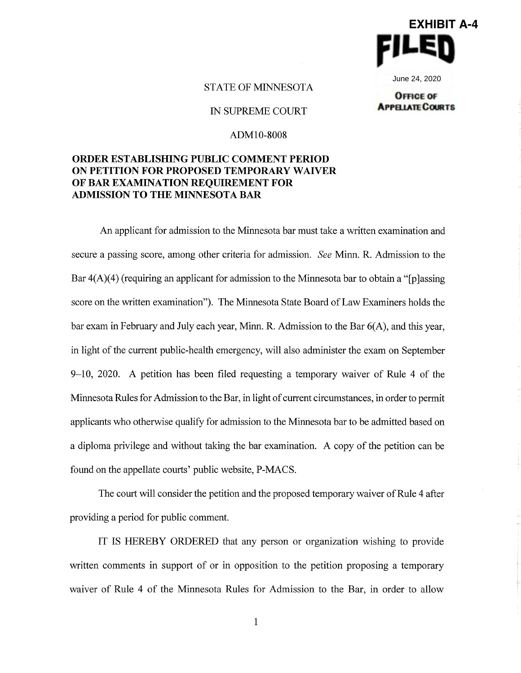

June 24, 2020

#### STATE OF MINNESOTA

IN SUPREME COURT

**OFFICE OF APPELIATE COURTS** 

#### ADMl0-8008

### **ORDER ESTABLISHING PUBLIC COMMENT PERIOD ON PETITION FOR PROPOSED TEMPORARY WAIVER OF BAR EXAMINATION REQUIREMENT FOR ADMISSION TO THE MINNESOTA BAR**

An applicant for admission to the Minnesota bar must take a written examination and secure a passing score, among other criteria for admission. *See* Minn. R. Admission to the Bar  $4(A)(4)$  (requiring an applicant for admission to the Minnesota bar to obtain a "[p]assing score on the written examination"). The Minnesota State Board of Law Examiners holds the bar exam in February and July each year, Minn. R. Admission to the Bar 6(A), and this year, in light of the current public-health emergency, will also administer the exam on September 9-10, 2020. A petition has been filed requesting a temporary waiver of Rule 4 of the Minnesota Rules for Admission to the Bar, in light of current circumstances, in order to permit applicants who otherwise qualify for admission to the Minnesota bar to be admitted based on a diploma privilege and without taking the bar examination. A copy of the petition can be found on the appellate courts' public website, P-MACS.

The court will consider the petition and the proposed temporary waiver of Rule 4 after providing a period for public comment.

IT IS HEREBY ORDERED that any person or organization wishing to provide written comments in support of or in opposition to the petition proposing a temporary waiver of Rule 4 of the Minnesota Rules for Admission to the Bar, in order to allow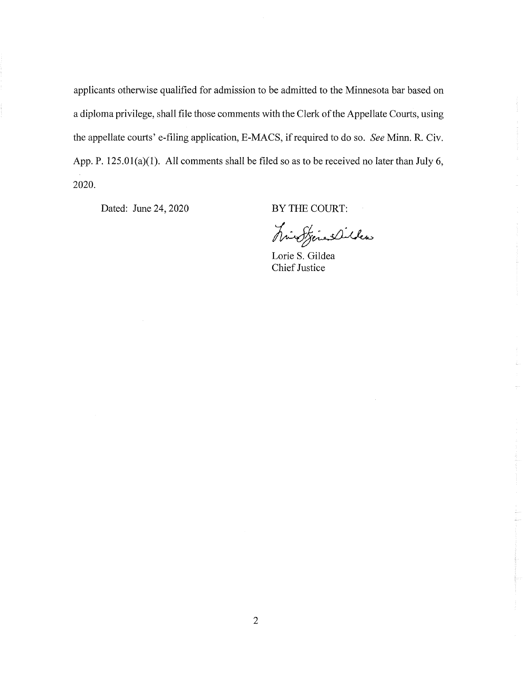applicants otherwise qualified for admission to be admitted to the Minnesota bar based on a diploma privilege, shall file those comments with the Clerk of the Appellate Courts, using the appellate courts' e-filing application, E-MACS, if required to do so. *See Minn. R. Civ.* App. P. 125.01(a)(1). All comments shall be filed so as to be received no later than July 6, 2020.

Dated: June 24, 2020

BY THE COURT:

historialites

Lorie S. Gildea Chief Justice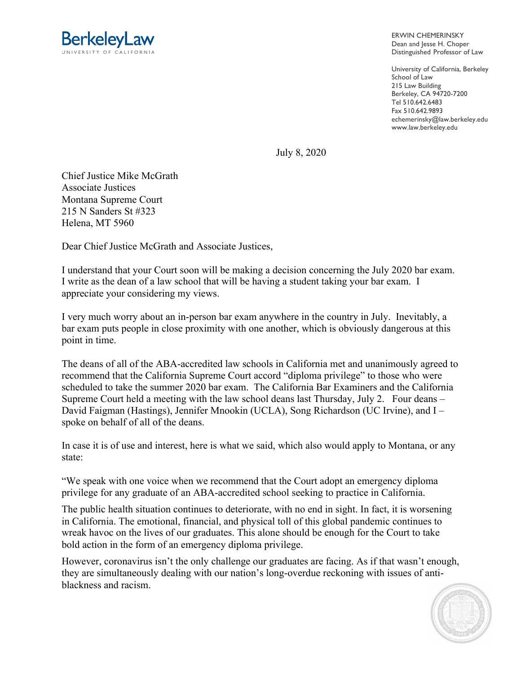

ERWIN CHEMERINSKY Dean and Jesse H. Choper Distinguished Professor of Law

University of California, Berkeley School of Law 215 Law Building Berkeley, CA 94720-7200 Tel 510.642.6483 Fax 510.642.9893 echemerinsky@law.berkeley.edu www.law.berkeley.edu

July 8, 2020

Chief Justice Mike McGrath Associate Justices Montana Supreme Court 215 N Sanders St #323 Helena, MT 5960

Dear Chief Justice McGrath and Associate Justices,

I understand that your Court soon will be making a decision concerning the July 2020 bar exam. I write as the dean of a law school that will be having a student taking your bar exam. I appreciate your considering my views.

I very much worry about an in-person bar exam anywhere in the country in July. Inevitably, a bar exam puts people in close proximity with one another, which is obviously dangerous at this point in time.

The deans of all of the ABA-accredited law schools in California met and unanimously agreed to recommend that the California Supreme Court accord "diploma privilege" to those who were scheduled to take the summer 2020 bar exam. The California Bar Examiners and the California Supreme Court held a meeting with the law school deans last Thursday, July 2. Four deans – David Faigman (Hastings), Jennifer Mnookin (UCLA), Song Richardson (UC Irvine), and I – spoke on behalf of all of the deans.

In case it is of use and interest, here is what we said, which also would apply to Montana, or any state:

"We speak with one voice when we recommend that the Court adopt an emergency diploma privilege for any graduate of an ABA-accredited school seeking to practice in California.

The public health situation continues to deteriorate, with no end in sight. In fact, it is worsening in California. The emotional, financial, and physical toll of this global pandemic continues to wreak havoc on the lives of our graduates. This alone should be enough for the Court to take bold action in the form of an emergency diploma privilege.

However, coronavirus isn't the only challenge our graduates are facing. As if that wasn't enough, they are simultaneously dealing with our nation's long-overdue reckoning with issues of antiblackness and racism.

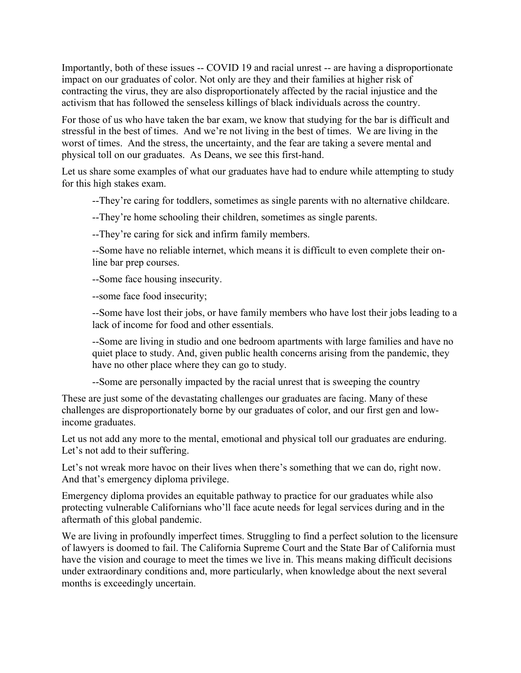Importantly, both of these issues -- COVID 19 and racial unrest -- are having a disproportionate impact on our graduates of color. Not only are they and their families at higher risk of contracting the virus, they are also disproportionately affected by the racial injustice and the activism that has followed the senseless killings of black individuals across the country.

For those of us who have taken the bar exam, we know that studying for the bar is difficult and stressful in the best of times. And we're not living in the best of times. We are living in the worst of times. And the stress, the uncertainty, and the fear are taking a severe mental and physical toll on our graduates. As Deans, we see this first-hand.

Let us share some examples of what our graduates have had to endure while attempting to study for this high stakes exam.

--They're caring for toddlers, sometimes as single parents with no alternative childcare.

--They're home schooling their children, sometimes as single parents.

--They're caring for sick and infirm family members.

--Some have no reliable internet, which means it is difficult to even complete their online bar prep courses.

--Some face housing insecurity.

--some face food insecurity;

--Some have lost their jobs, or have family members who have lost their jobs leading to a lack of income for food and other essentials.

--Some are living in studio and one bedroom apartments with large families and have no quiet place to study. And, given public health concerns arising from the pandemic, they have no other place where they can go to study.

--Some are personally impacted by the racial unrest that is sweeping the country

These are just some of the devastating challenges our graduates are facing. Many of these challenges are disproportionately borne by our graduates of color, and our first gen and lowincome graduates.

Let us not add any more to the mental, emotional and physical toll our graduates are enduring. Let's not add to their suffering.

Let's not wreak more havoc on their lives when there's something that we can do, right now. And that's emergency diploma privilege.

Emergency diploma provides an equitable pathway to practice for our graduates while also protecting vulnerable Californians who'll face acute needs for legal services during and in the aftermath of this global pandemic.

We are living in profoundly imperfect times. Struggling to find a perfect solution to the licensure of lawyers is doomed to fail. The California Supreme Court and the State Bar of California must have the vision and courage to meet the times we live in. This means making difficult decisions under extraordinary conditions and, more particularly, when knowledge about the next several months is exceedingly uncertain.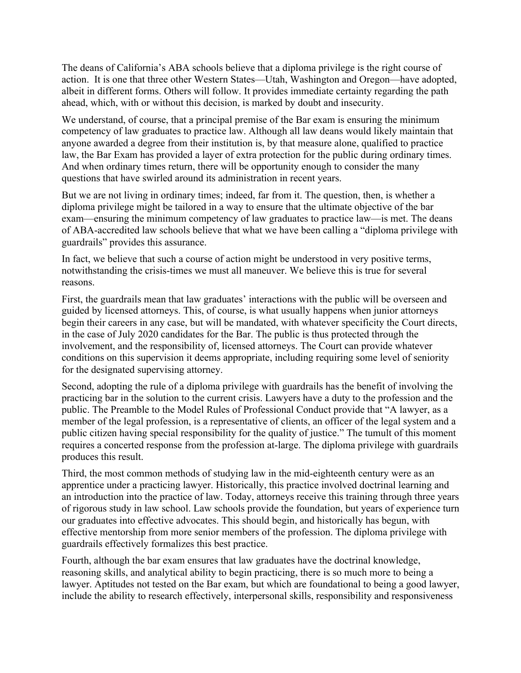The deans of California's ABA schools believe that a diploma privilege is the right course of action. It is one that three other Western States—Utah, Washington and Oregon—have adopted, albeit in different forms. Others will follow. It provides immediate certainty regarding the path ahead, which, with or without this decision, is marked by doubt and insecurity.

We understand, of course, that a principal premise of the Bar exam is ensuring the minimum competency of law graduates to practice law. Although all law deans would likely maintain that anyone awarded a degree from their institution is, by that measure alone, qualified to practice law, the Bar Exam has provided a layer of extra protection for the public during ordinary times. And when ordinary times return, there will be opportunity enough to consider the many questions that have swirled around its administration in recent years.

But we are not living in ordinary times; indeed, far from it. The question, then, is whether a diploma privilege might be tailored in a way to ensure that the ultimate objective of the bar exam—ensuring the minimum competency of law graduates to practice law—is met. The deans of ABA-accredited law schools believe that what we have been calling a "diploma privilege with guardrails" provides this assurance.

In fact, we believe that such a course of action might be understood in very positive terms, notwithstanding the crisis-times we must all maneuver. We believe this is true for several reasons.

First, the guardrails mean that law graduates' interactions with the public will be overseen and guided by licensed attorneys. This, of course, is what usually happens when junior attorneys begin their careers in any case, but will be mandated, with whatever specificity the Court directs, in the case of July 2020 candidates for the Bar. The public is thus protected through the involvement, and the responsibility of, licensed attorneys. The Court can provide whatever conditions on this supervision it deems appropriate, including requiring some level of seniority for the designated supervising attorney.

Second, adopting the rule of a diploma privilege with guardrails has the benefit of involving the practicing bar in the solution to the current crisis. Lawyers have a duty to the profession and the public. The Preamble to the Model Rules of Professional Conduct provide that "A lawyer, as a member of the legal profession, is a representative of clients, an officer of the legal system and a public citizen having special responsibility for the quality of justice." The tumult of this moment requires a concerted response from the profession at-large. The diploma privilege with guardrails produces this result.

Third, the most common methods of studying law in the mid-eighteenth century were as an apprentice under a practicing lawyer. Historically, this practice involved doctrinal learning and an introduction into the practice of law. Today, attorneys receive this training through three years of rigorous study in law school. Law schools provide the foundation, but years of experience turn our graduates into effective advocates. This should begin, and historically has begun, with effective mentorship from more senior members of the profession. The diploma privilege with guardrails effectively formalizes this best practice.

Fourth, although the bar exam ensures that law graduates have the doctrinal knowledge, reasoning skills, and analytical ability to begin practicing, there is so much more to being a lawyer. Aptitudes not tested on the Bar exam, but which are foundational to being a good lawyer, include the ability to research effectively, interpersonal skills, responsibility and responsiveness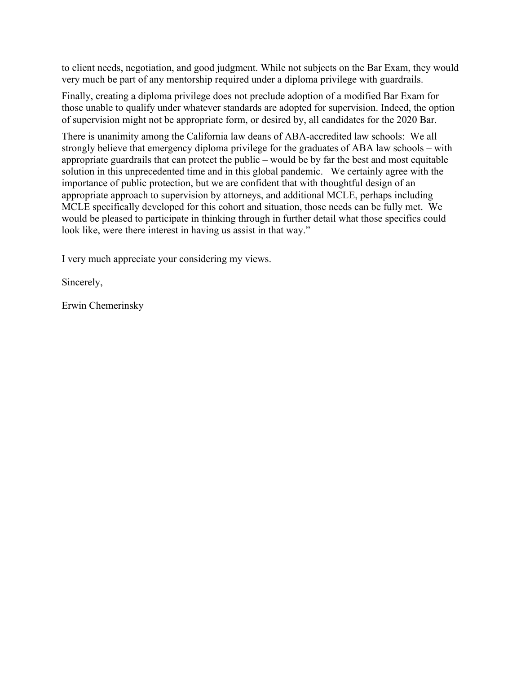to client needs, negotiation, and good judgment. While not subjects on the Bar Exam, they would very much be part of any mentorship required under a diploma privilege with guardrails.

Finally, creating a diploma privilege does not preclude adoption of a modified Bar Exam for those unable to qualify under whatever standards are adopted for supervision. Indeed, the option of supervision might not be appropriate form, or desired by, all candidates for the 2020 Bar.

There is unanimity among the California law deans of ABA-accredited law schools: We all strongly believe that emergency diploma privilege for the graduates of ABA law schools – with appropriate guardrails that can protect the public – would be by far the best and most equitable solution in this unprecedented time and in this global pandemic. We certainly agree with the importance of public protection, but we are confident that with thoughtful design of an appropriate approach to supervision by attorneys, and additional MCLE, perhaps including MCLE specifically developed for this cohort and situation, those needs can be fully met. We would be pleased to participate in thinking through in further detail what those specifics could look like, were there interest in having us assist in that way."

I very much appreciate your considering my views.

Sincerely,

Erwin Chemerinsky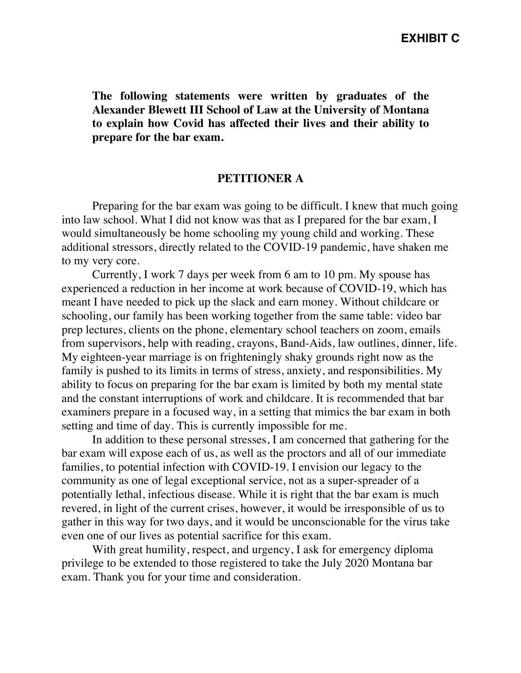**The following statements were written by graduates of the Alexander Blewett III School of Law at the University of Montana to explain how Covid has affected their lives and their ability to prepare for the bar exam.**

# **PETITIONER A**

Preparing for the bar exam was going to be difficult. I knew that much going into law school. What I did not know was that as I prepared for the bar exam, I would simultaneously be home schooling my young child and working. These additional stressors, directly related to the COVID-19 pandemic, have shaken me to my very core.

Currently, I work 7 days per week from 6 am to 10 pm. My spouse has experienced a reduction in her income at work because of COVID-19, which has meant I have needed to pick up the slack and earn money. Without childcare or schooling, our family has been working together from the same table: video bar prep lectures, clients on the phone, elementary school teachers on zoom, emails from supervisors, help with reading, crayons, Band-Aids, law outlines, dinner, life. My eighteen-year marriage is on frighteningly shaky grounds right now as the family is pushed to its limits in terms of stress, anxiety, and responsibilities. My ability to focus on preparing for the bar exam is limited by both my mental state and the constant interruptions of work and childcare. It is recommended that bar examiners prepare in a focused way, in a setting that mimics the bar exam in both setting and time of day. This is currently impossible for me.

In addition to these personal stresses, I am concerned that gathering for the bar exam will expose each of us, as well as the proctors and all of our immediate families, to potential infection with COVID-19. I envision our legacy to the community as one of legal exceptional service, not as a super-spreader of a potentially lethal, infectious disease. While it is right that the bar exam is much revered, in light of the current crises, however, it would be irresponsible of us to gather in this way for two days, and it would be unconscionable for the virus take even one of our lives as potential sacrifice for this exam.

With great humility, respect, and urgency, I ask for emergency diploma privilege to be extended to those registered to take the July 2020 Montana bar exam. Thank you for your time and consideration.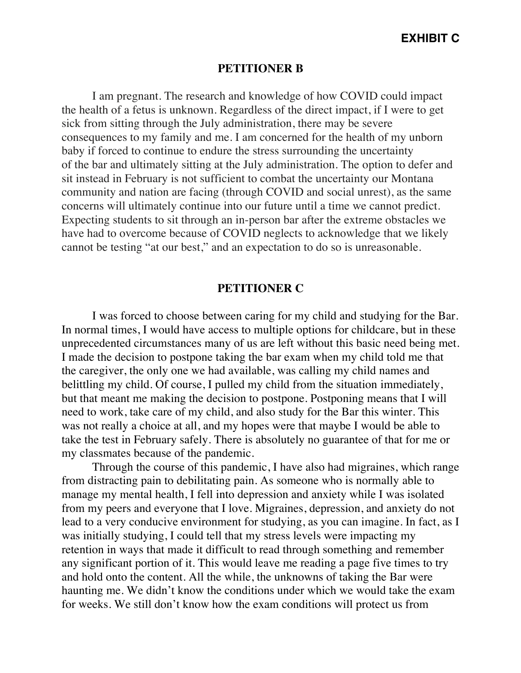# **EXHIBIT C**

### **PETITIONER B**

I am pregnant. The research and knowledge of how COVID could impact the health of a fetus is unknown. Regardless of the direct impact, if I were to get sick from sitting through the July administration, there may be severe consequences to my family and me. I am concerned for the health of my unborn baby if forced to continue to endure the stress surrounding the uncertainty of the bar and ultimately sitting at the July administration. The option to defer and sit instead in February is not sufficient to combat the uncertainty our Montana community and nation are facing (through COVID and social unrest), as the same concerns will ultimately continue into our future until a time we cannot predict. Expecting students to sit through an in-person bar after the extreme obstacles we have had to overcome because of COVID neglects to acknowledge that we likely cannot be testing "at our best," and an expectation to do so is unreasonable.

### **PETITIONER C**

I was forced to choose between caring for my child and studying for the Bar. In normal times, I would have access to multiple options for childcare, but in these unprecedented circumstances many of us are left without this basic need being met. I made the decision to postpone taking the bar exam when my child told me that the caregiver, the only one we had available, was calling my child names and belittling my child. Of course, I pulled my child from the situation immediately, but that meant me making the decision to postpone. Postponing means that I will need to work, take care of my child, and also study for the Bar this winter. This was not really a choice at all, and my hopes were that maybe I would be able to take the test in February safely. There is absolutely no guarantee of that for me or my classmates because of the pandemic.

Through the course of this pandemic, I have also had migraines, which range from distracting pain to debilitating pain. As someone who is normally able to manage my mental health, I fell into depression and anxiety while I was isolated from my peers and everyone that I love. Migraines, depression, and anxiety do not lead to a very conducive environment for studying, as you can imagine. In fact, as I was initially studying, I could tell that my stress levels were impacting my retention in ways that made it difficult to read through something and remember any significant portion of it. This would leave me reading a page five times to try and hold onto the content. All the while, the unknowns of taking the Bar were haunting me. We didn't know the conditions under which we would take the exam for weeks. We still don't know how the exam conditions will protect us from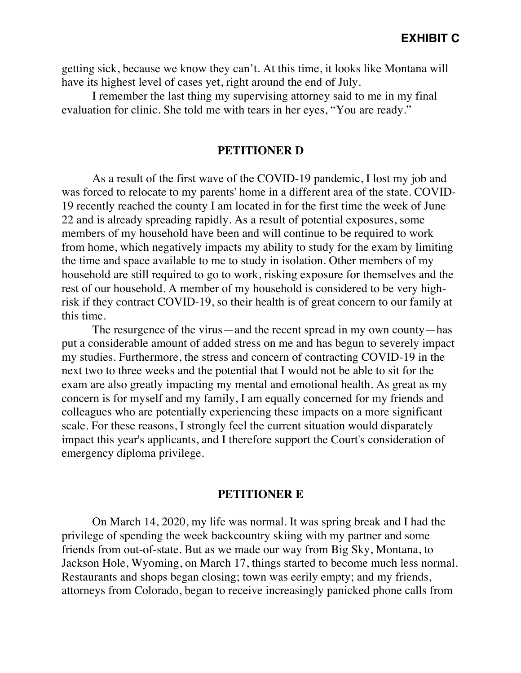getting sick, because we know they can't. At this time, it looks like Montana will have its highest level of cases yet, right around the end of July.

I remember the last thing my supervising attorney said to me in my final evaluation for clinic. She told me with tears in her eyes, "You are ready."

### **PETITIONER D**

As a result of the first wave of the COVID-19 pandemic, I lost my job and was forced to relocate to my parents' home in a different area of the state. COVID-19 recently reached the county I am located in for the first time the week of June 22 and is already spreading rapidly. As a result of potential exposures, some members of my household have been and will continue to be required to work from home, which negatively impacts my ability to study for the exam by limiting the time and space available to me to study in isolation. Other members of my household are still required to go to work, risking exposure for themselves and the rest of our household. A member of my household is considered to be very highrisk if they contract COVID-19, so their health is of great concern to our family at this time.

The resurgence of the virus—and the recent spread in my own county—has put a considerable amount of added stress on me and has begun to severely impact my studies. Furthermore, the stress and concern of contracting COVID-19 in the next two to three weeks and the potential that I would not be able to sit for the exam are also greatly impacting my mental and emotional health. As great as my concern is for myself and my family, I am equally concerned for my friends and colleagues who are potentially experiencing these impacts on a more significant scale. For these reasons, I strongly feel the current situation would disparately impact this year's applicants, and I therefore support the Court's consideration of emergency diploma privilege.

### **PETITIONER E**

On March 14, 2020, my life was normal. It was spring break and I had the privilege of spending the week backcountry skiing with my partner and some friends from out-of-state. But as we made our way from Big Sky, Montana, to Jackson Hole, Wyoming, on March 17, things started to become much less normal. Restaurants and shops began closing; town was eerily empty; and my friends, attorneys from Colorado, began to receive increasingly panicked phone calls from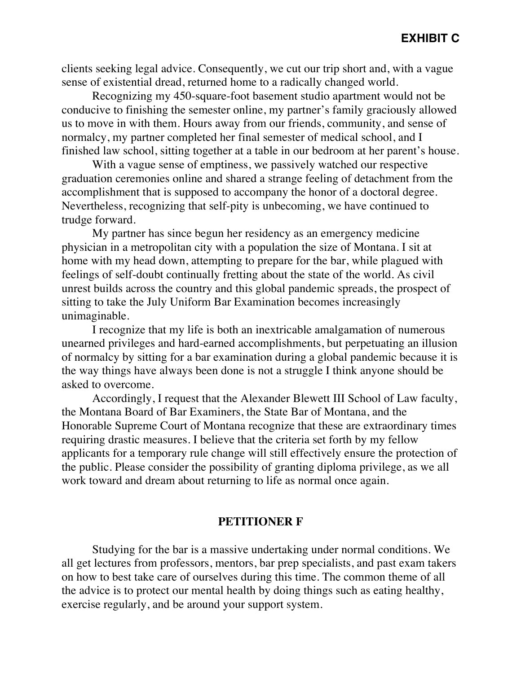clients seeking legal advice. Consequently, we cut our trip short and, with a vague sense of existential dread, returned home to a radically changed world.

Recognizing my 450-square-foot basement studio apartment would not be conducive to finishing the semester online, my partner's family graciously allowed us to move in with them. Hours away from our friends, community, and sense of normalcy, my partner completed her final semester of medical school, and I finished law school, sitting together at a table in our bedroom at her parent's house.

With a vague sense of emptiness, we passively watched our respective graduation ceremonies online and shared a strange feeling of detachment from the accomplishment that is supposed to accompany the honor of a doctoral degree. Nevertheless, recognizing that self-pity is unbecoming, we have continued to trudge forward.

My partner has since begun her residency as an emergency medicine physician in a metropolitan city with a population the size of Montana. I sit at home with my head down, attempting to prepare for the bar, while plagued with feelings of self-doubt continually fretting about the state of the world. As civil unrest builds across the country and this global pandemic spreads, the prospect of sitting to take the July Uniform Bar Examination becomes increasingly unimaginable.

I recognize that my life is both an inextricable amalgamation of numerous unearned privileges and hard-earned accomplishments, but perpetuating an illusion of normalcy by sitting for a bar examination during a global pandemic because it is the way things have always been done is not a struggle I think anyone should be asked to overcome.

Accordingly, I request that the Alexander Blewett III School of Law faculty, the Montana Board of Bar Examiners, the State Bar of Montana, and the Honorable Supreme Court of Montana recognize that these are extraordinary times requiring drastic measures. I believe that the criteria set forth by my fellow applicants for a temporary rule change will still effectively ensure the protection of the public. Please consider the possibility of granting diploma privilege, as we all work toward and dream about returning to life as normal once again.

# **PETITIONER F**

Studying for the bar is a massive undertaking under normal conditions. We all get lectures from professors, mentors, bar prep specialists, and past exam takers on how to best take care of ourselves during this time. The common theme of all the advice is to protect our mental health by doing things such as eating healthy, exercise regularly, and be around your support system.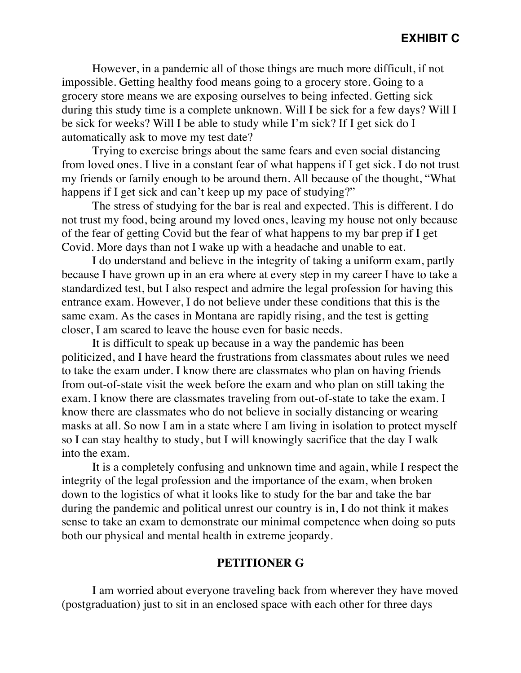However, in a pandemic all of those things are much more difficult, if not impossible. Getting healthy food means going to a grocery store. Going to a grocery store means we are exposing ourselves to being infected. Getting sick during this study time is a complete unknown. Will I be sick for a few days? Will I be sick for weeks? Will I be able to study while I'm sick? If I get sick do I automatically ask to move my test date?

Trying to exercise brings about the same fears and even social distancing from loved ones. I live in a constant fear of what happens if I get sick. I do not trust my friends or family enough to be around them. All because of the thought, "What happens if I get sick and can't keep up my pace of studying?"

The stress of studying for the bar is real and expected. This is different. I do not trust my food, being around my loved ones, leaving my house not only because of the fear of getting Covid but the fear of what happens to my bar prep if I get Covid. More days than not I wake up with a headache and unable to eat.

I do understand and believe in the integrity of taking a uniform exam, partly because I have grown up in an era where at every step in my career I have to take a standardized test, but I also respect and admire the legal profession for having this entrance exam. However, I do not believe under these conditions that this is the same exam. As the cases in Montana are rapidly rising, and the test is getting closer, I am scared to leave the house even for basic needs.

It is difficult to speak up because in a way the pandemic has been politicized, and I have heard the frustrations from classmates about rules we need to take the exam under. I know there are classmates who plan on having friends from out-of-state visit the week before the exam and who plan on still taking the exam. I know there are classmates traveling from out-of-state to take the exam. I know there are classmates who do not believe in socially distancing or wearing masks at all. So now I am in a state where I am living in isolation to protect myself so I can stay healthy to study, but I will knowingly sacrifice that the day I walk into the exam.

It is a completely confusing and unknown time and again, while I respect the integrity of the legal profession and the importance of the exam, when broken down to the logistics of what it looks like to study for the bar and take the bar during the pandemic and political unrest our country is in, I do not think it makes sense to take an exam to demonstrate our minimal competence when doing so puts both our physical and mental health in extreme jeopardy.

# **PETITIONER G**

I am worried about everyone traveling back from wherever they have moved (postgraduation) just to sit in an enclosed space with each other for three days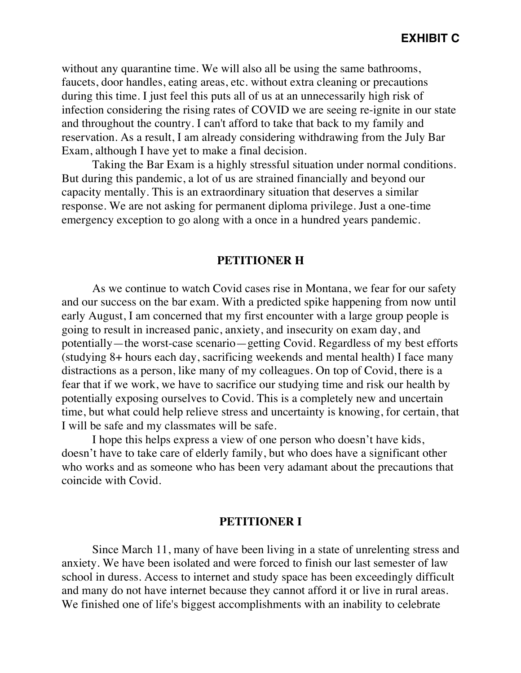without any quarantine time. We will also all be using the same bathrooms, faucets, door handles, eating areas, etc. without extra cleaning or precautions during this time. I just feel this puts all of us at an unnecessarily high risk of infection considering the rising rates of COVID we are seeing re-ignite in our state and throughout the country. I can't afford to take that back to my family and reservation. As a result, I am already considering withdrawing from the July Bar Exam, although I have yet to make a final decision.

Taking the Bar Exam is a highly stressful situation under normal conditions. But during this pandemic, a lot of us are strained financially and beyond our capacity mentally. This is an extraordinary situation that deserves a similar response. We are not asking for permanent diploma privilege. Just a one-time emergency exception to go along with a once in a hundred years pandemic.

### **PETITIONER H**

As we continue to watch Covid cases rise in Montana, we fear for our safety and our success on the bar exam. With a predicted spike happening from now until early August, I am concerned that my first encounter with a large group people is going to result in increased panic, anxiety, and insecurity on exam day, and potentially—the worst-case scenario—getting Covid. Regardless of my best efforts (studying 8+ hours each day, sacrificing weekends and mental health) I face many distractions as a person, like many of my colleagues. On top of Covid, there is a fear that if we work, we have to sacrifice our studying time and risk our health by potentially exposing ourselves to Covid. This is a completely new and uncertain time, but what could help relieve stress and uncertainty is knowing, for certain, that I will be safe and my classmates will be safe.

I hope this helps express a view of one person who doesn't have kids, doesn't have to take care of elderly family, but who does have a significant other who works and as someone who has been very adamant about the precautions that coincide with Covid.

### **PETITIONER I**

Since March 11, many of have been living in a state of unrelenting stress and anxiety. We have been isolated and were forced to finish our last semester of law school in duress. Access to internet and study space has been exceedingly difficult and many do not have internet because they cannot afford it or live in rural areas. We finished one of life's biggest accomplishments with an inability to celebrate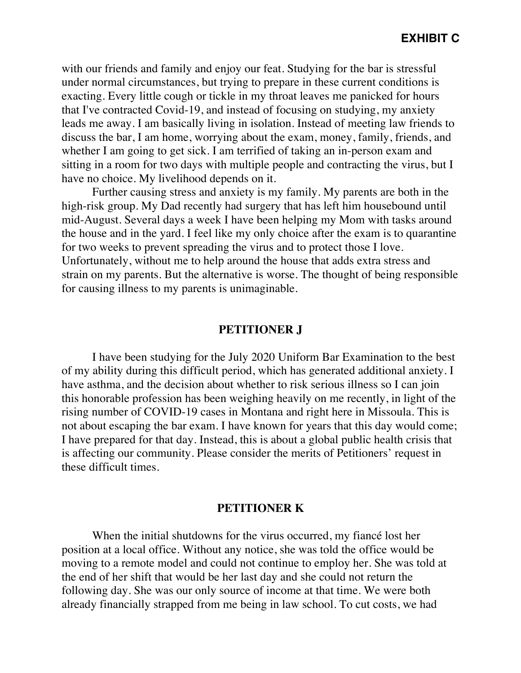with our friends and family and enjoy our feat. Studying for the bar is stressful under normal circumstances, but trying to prepare in these current conditions is exacting. Every little cough or tickle in my throat leaves me panicked for hours that I've contracted Covid-19, and instead of focusing on studying, my anxiety leads me away. I am basically living in isolation. Instead of meeting law friends to discuss the bar, I am home, worrying about the exam, money, family, friends, and whether I am going to get sick. I am terrified of taking an in-person exam and sitting in a room for two days with multiple people and contracting the virus, but I have no choice. My livelihood depends on it.

Further causing stress and anxiety is my family. My parents are both in the high-risk group. My Dad recently had surgery that has left him housebound until mid-August. Several days a week I have been helping my Mom with tasks around the house and in the yard. I feel like my only choice after the exam is to quarantine for two weeks to prevent spreading the virus and to protect those I love. Unfortunately, without me to help around the house that adds extra stress and strain on my parents. But the alternative is worse. The thought of being responsible for causing illness to my parents is unimaginable.

# **PETITIONER J**

I have been studying for the July 2020 Uniform Bar Examination to the best of my ability during this difficult period, which has generated additional anxiety. I have asthma, and the decision about whether to risk serious illness so I can join this honorable profession has been weighing heavily on me recently, in light of the rising number of COVID-19 cases in Montana and right here in Missoula. This is not about escaping the bar exam. I have known for years that this day would come; I have prepared for that day. Instead, this is about a global public health crisis that is affecting our community. Please consider the merits of Petitioners' request in these difficult times.

### **PETITIONER K**

When the initial shutdowns for the virus occurred, my fiancé lost her position at a local office. Without any notice, she was told the office would be moving to a remote model and could not continue to employ her. She was told at the end of her shift that would be her last day and she could not return the following day. She was our only source of income at that time. We were both already financially strapped from me being in law school. To cut costs, we had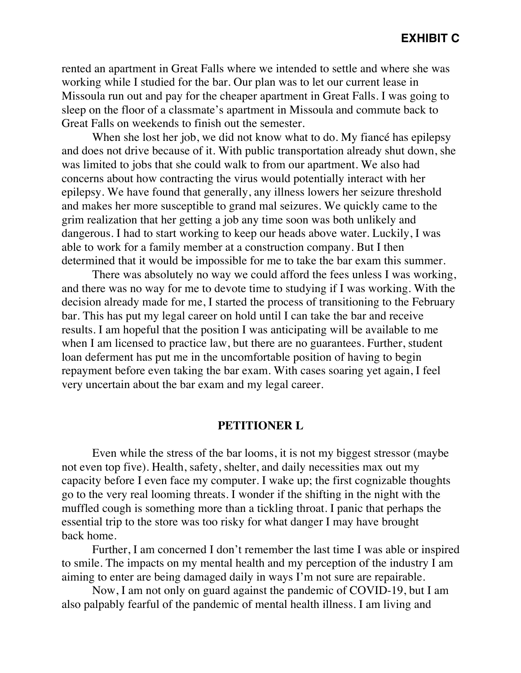rented an apartment in Great Falls where we intended to settle and where she was working while I studied for the bar. Our plan was to let our current lease in Missoula run out and pay for the cheaper apartment in Great Falls. I was going to sleep on the floor of a classmate's apartment in Missoula and commute back to Great Falls on weekends to finish out the semester.

When she lost her job, we did not know what to do. My fiancé has epilepsy and does not drive because of it. With public transportation already shut down, she was limited to jobs that she could walk to from our apartment. We also had concerns about how contracting the virus would potentially interact with her epilepsy. We have found that generally, any illness lowers her seizure threshold and makes her more susceptible to grand mal seizures. We quickly came to the grim realization that her getting a job any time soon was both unlikely and dangerous. I had to start working to keep our heads above water. Luckily, I was able to work for a family member at a construction company. But I then determined that it would be impossible for me to take the bar exam this summer.

There was absolutely no way we could afford the fees unless I was working, and there was no way for me to devote time to studying if I was working. With the decision already made for me, I started the process of transitioning to the February bar. This has put my legal career on hold until I can take the bar and receive results. I am hopeful that the position I was anticipating will be available to me when I am licensed to practice law, but there are no guarantees. Further, student loan deferment has put me in the uncomfortable position of having to begin repayment before even taking the bar exam. With cases soaring yet again, I feel very uncertain about the bar exam and my legal career.

# **PETITIONER L**

Even while the stress of the bar looms, it is not my biggest stressor (maybe not even top five). Health, safety, shelter, and daily necessities max out my capacity before I even face my computer. I wake up; the first cognizable thoughts go to the very real looming threats. I wonder if the shifting in the night with the muffled cough is something more than a tickling throat. I panic that perhaps the essential trip to the store was too risky for what danger I may have brought back home.

Further, I am concerned I don't remember the last time I was able or inspired to smile. The impacts on my mental health and my perception of the industry I am aiming to enter are being damaged daily in ways I'm not sure are repairable.

Now, I am not only on guard against the pandemic of COVID-19, but I am also palpably fearful of the pandemic of mental health illness. I am living and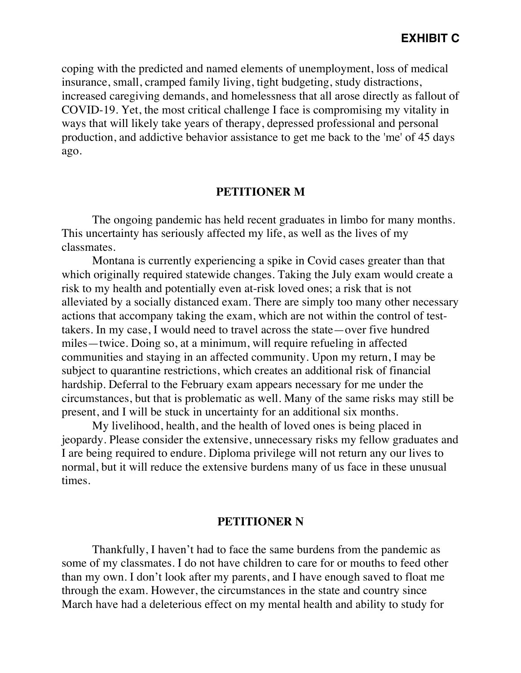coping with the predicted and named elements of unemployment, loss of medical insurance, small, cramped family living, tight budgeting, study distractions, increased caregiving demands, and homelessness that all arose directly as fallout of COVID-19. Yet, the most critical challenge I face is compromising my vitality in ways that will likely take years of therapy, depressed professional and personal production, and addictive behavior assistance to get me back to the 'me' of 45 days ago.

# **PETITIONER M**

The ongoing pandemic has held recent graduates in limbo for many months. This uncertainty has seriously affected my life, as well as the lives of my classmates.

Montana is currently experiencing a spike in Covid cases greater than that which originally required statewide changes. Taking the July exam would create a risk to my health and potentially even at-risk loved ones; a risk that is not alleviated by a socially distanced exam. There are simply too many other necessary actions that accompany taking the exam, which are not within the control of testtakers. In my case, I would need to travel across the state—over five hundred miles—twice. Doing so, at a minimum, will require refueling in affected communities and staying in an affected community. Upon my return, I may be subject to quarantine restrictions, which creates an additional risk of financial hardship. Deferral to the February exam appears necessary for me under the circumstances, but that is problematic as well. Many of the same risks may still be present, and I will be stuck in uncertainty for an additional six months.

My livelihood, health, and the health of loved ones is being placed in jeopardy. Please consider the extensive, unnecessary risks my fellow graduates and I are being required to endure. Diploma privilege will not return any our lives to normal, but it will reduce the extensive burdens many of us face in these unusual times.

# **PETITIONER N**

Thankfully, I haven't had to face the same burdens from the pandemic as some of my classmates. I do not have children to care for or mouths to feed other than my own. I don't look after my parents, and I have enough saved to float me through the exam. However, the circumstances in the state and country since March have had a deleterious effect on my mental health and ability to study for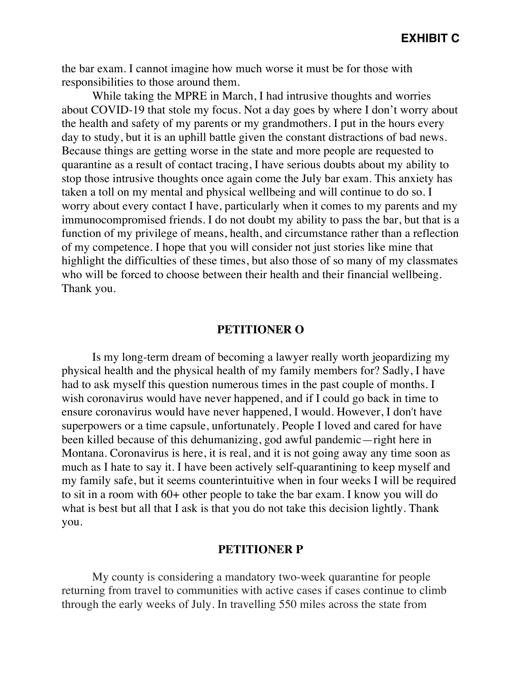the bar exam. I cannot imagine how much worse it must be for those with responsibilities to those around them.

While taking the MPRE in March, I had intrusive thoughts and worries about COVID-19 that stole my focus. Not a day goes by where I don't worry about the health and safety of my parents or my grandmothers. I put in the hours every day to study, but it is an uphill battle given the constant distractions of bad news. Because things are getting worse in the state and more people are requested to quarantine as a result of contact tracing, I have serious doubts about my ability to stop those intrusive thoughts once again come the July bar exam. This anxiety has taken a toll on my mental and physical wellbeing and will continue to do so. I worry about every contact I have, particularly when it comes to my parents and my immunocompromised friends. I do not doubt my ability to pass the bar, but that is a function of my privilege of means, health, and circumstance rather than a reflection of my competence. I hope that you will consider not just stories like mine that highlight the difficulties of these times, but also those of so many of my classmates who will be forced to choose between their health and their financial wellbeing. Thank you.

### **PETITIONER O**

Is my long-term dream of becoming a lawyer really worth jeopardizing my physical health and the physical health of my family members for? Sadly, I have had to ask myself this question numerous times in the past couple of months. I wish coronavirus would have never happened, and if I could go back in time to ensure coronavirus would have never happened, I would. However, I don't have superpowers or a time capsule, unfortunately. People I loved and cared for have been killed because of this dehumanizing, god awful pandemic—right here in Montana. Coronavirus is here, it is real, and it is not going away any time soon as much as I hate to say it. I have been actively self-quarantining to keep myself and my family safe, but it seems counterintuitive when in four weeks I will be required to sit in a room with 60+ other people to take the bar exam. I know you will do what is best but all that I ask is that you do not take this decision lightly. Thank you.

# **PETITIONER P**

My county is considering a mandatory two-week quarantine for people returning from travel to communities with active cases if cases continue to climb through the early weeks of July. In travelling 550 miles across the state from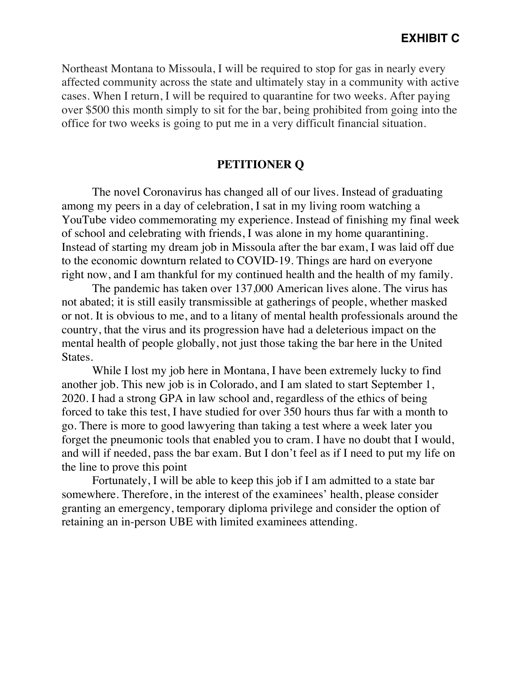Northeast Montana to Missoula, I will be required to stop for gas in nearly every affected community across the state and ultimately stay in a community with active cases. When I return, I will be required to quarantine for two weeks. After paying over \$500 this month simply to sit for the bar, being prohibited from going into the office for two weeks is going to put me in a very difficult financial situation.

# **PETITIONER Q**

The novel Coronavirus has changed all of our lives. Instead of graduating among my peers in a day of celebration, I sat in my living room watching a YouTube video commemorating my experience. Instead of finishing my final week of school and celebrating with friends, I was alone in my home quarantining. Instead of starting my dream job in Missoula after the bar exam, I was laid off due to the economic downturn related to COVID-19. Things are hard on everyone right now, and I am thankful for my continued health and the health of my family.

The pandemic has taken over 137,000 American lives alone. The virus has not abated; it is still easily transmissible at gatherings of people, whether masked or not. It is obvious to me, and to a litany of mental health professionals around the country, that the virus and its progression have had a deleterious impact on the mental health of people globally, not just those taking the bar here in the United States.

While I lost my job here in Montana, I have been extremely lucky to find another job. This new job is in Colorado, and I am slated to start September 1, 2020. I had a strong GPA in law school and, regardless of the ethics of being forced to take this test, I have studied for over 350 hours thus far with a month to go. There is more to good lawyering than taking a test where a week later you forget the pneumonic tools that enabled you to cram. I have no doubt that I would, and will if needed, pass the bar exam. But I don't feel as if I need to put my life on the line to prove this point

Fortunately, I will be able to keep this job if I am admitted to a state bar somewhere. Therefore, in the interest of the examinees' health, please consider granting an emergency, temporary diploma privilege and consider the option of retaining an in-person UBE with limited examinees attending.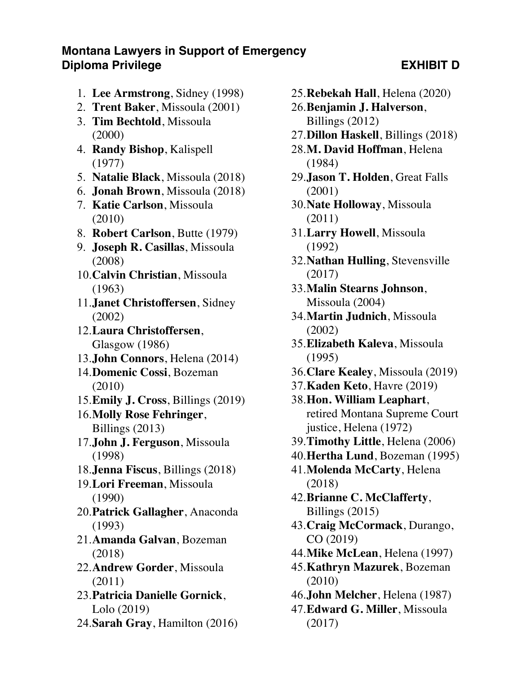# **Montana Lawyers in Support of Emergency Diploma Privilege Contract Contract Contract Contract Contract Contract Contract Contract Contract Contract Contract Contract Contract Contract Contract Contract Contract Contract Contract Contract Contract Contract Contr**

- 1. **Lee Armstrong**, Sidney (1998)
- 2. **Trent Baker**, Missoula (2001)
- 3. **Tim Bechtold**, Missoula (2000)
- 4. **Randy Bishop**, Kalispell (1977)
- 5. **Natalie Black**, Missoula (2018)
- 6. **Jonah Brown**, Missoula (2018)
- 7. **Katie Carlson**, Missoula (2010)
- 8. **Robert Carlson**, Butte (1979)
- 9. **Joseph R. Casillas**, Missoula (2008)
- 10.**Calvin Christian**, Missoula (1963)
- 11.**Janet Christoffersen**, Sidney (2002)
- 12.**Laura Christoffersen**, Glasgow (1986)
- 13.**John Connors**, Helena (2014)
- 14.**Domenic Cossi**, Bozeman (2010)
- 15.**Emily J. Cross**, Billings (2019)
- 16.**Molly Rose Fehringer**, Billings (2013)
- 17.**John J. Ferguson**, Missoula (1998)
- 18.**Jenna Fiscus**, Billings (2018)
- 19.**Lori Freeman**, Missoula (1990)
- 20.**Patrick Gallagher**, Anaconda (1993)
- 21.**Amanda Galvan**, Bozeman (2018)
- 22.**Andrew Gorder**, Missoula (2011)
- 23.**Patricia Danielle Gornick**, Lolo (2019)
- 24.**Sarah Gray**, Hamilton (2016)
- 25.**Rebekah Hall**, Helena (2020)
- 26.**Benjamin J. Halverson**, Billings (2012)
- 27.**Dillon Haskell**, Billings (2018)
- 28.**M. David Hoffman**, Helena (1984)
- 29.**Jason T. Holden**, Great Falls (2001)
- 30.**Nate Holloway**, Missoula (2011)
- 31.**Larry Howell**, Missoula (1992)
- 32.**Nathan Hulling**, Stevensville (2017)
- 33.**Malin Stearns Johnson**, Missoula (2004)
- 34.**Martin Judnich**, Missoula (2002)
- 35.**Elizabeth Kaleva**, Missoula (1995)
- 36.**Clare Kealey**, Missoula (2019)
- 37.**Kaden Keto**, Havre (2019)
- 38.**Hon. William Leaphart**, retired Montana Supreme Court justice, Helena (1972)
- 39.**Timothy Little**, Helena (2006)
- 40.**Hertha Lund**, Bozeman (1995)
- 41.**Molenda McCarty**, Helena (2018)
- 42.**Brianne C. McClafferty**, Billings (2015)
- 43.**Craig McCormack**, Durango, CO (2019)
- 44.**Mike McLean**, Helena (1997)
- 45.**Kathryn Mazurek**, Bozeman (2010)
- 46.**John Melcher**, Helena (1987)
- 47.**Edward G. Miller**, Missoula (2017)